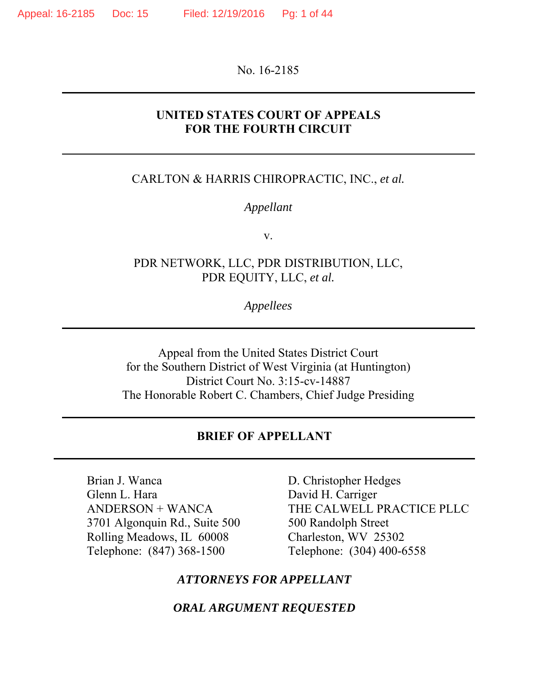No. 16-2185

### **UNITED STATES COURT OF APPEALS FOR THE FOURTH CIRCUIT**

#### CARLTON & HARRIS CHIROPRACTIC, INC., *et al.*

#### *Appellant*

v.

### PDR NETWORK, LLC, PDR DISTRIBUTION, LLC, PDR EQUITY, LLC, *et al.*

*Appellees*

Appeal from the United States District Court for the Southern District of West Virginia (at Huntington) District Court No. 3:15-cv-14887 The Honorable Robert C. Chambers, Chief Judge Presiding

#### **BRIEF OF APPELLANT**

Brian J. Wanca Glenn L. Hara ANDERSON + WANCA 3701 Algonquin Rd., Suite 500 Rolling Meadows, IL 60008 Telephone: (847) 368-1500

D. Christopher Hedges David H. Carriger THE CALWELL PRACTICE PLLC 500 Randolph Street Charleston, WV 25302 Telephone: (304) 400-6558

### *ATTORNEYS FOR APPELLANT*

*ORAL ARGUMENT REQUESTED*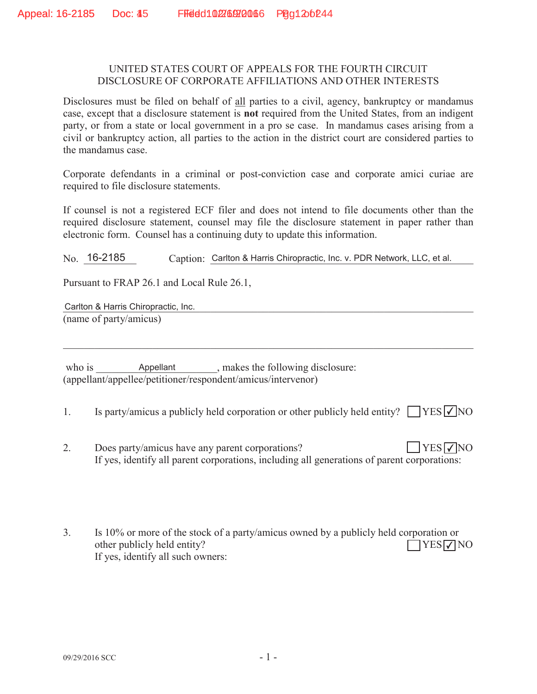#### UNITED STATES COURT OF APPEALS FOR THE FOURTH CIRCUIT DISCLOSURE OF CORPORATE AFFILIATIONS AND OTHER INTERESTS

Disclosures must be filed on behalf of all parties to a civil, agency, bankruptcy or mandamus case, except that a disclosure statement is **not** required from the United States, from an indigent party, or from a state or local government in a pro se case. In mandamus cases arising from a civil or bankruptcy action, all parties to the action in the district court are considered parties to the mandamus case.

Corporate defendants in a criminal or post-conviction case and corporate amici curiae are required to file disclosure statements.

If counsel is not a registered ECF filer and does not intend to file documents other than the required disclosure statement, counsel may file the disclosure statement in paper rather than electronic form. Counsel has a continuing duty to update this information.

No. 16-2185 Caption: Carlton & Harris Chiropractic, Inc. v. PDR Network, LLC, et al.

Pursuant to FRAP 26.1 and Local Rule 26.1,

Carlton & Harris Chiropractic, Inc. **Carlton & Harris Chiropractic**, Inc. (name of party/amicus)

who is  $\Box$  Appellant  $\Box$ , makes the following disclosure: (appellant/appellee/petitioner/respondent/amicus/intervenor) Appellant

1. Is party/amicus a publicly held corporation or other publicly held entity?  $\Box$  YES  $\Box$  NO

- 2. Does party/amicus have any parent corporations? If yes, identify all parent corporations, including all generations of parent corporations:  $YES\nabla NO$
- 3. Is 10% or more of the stock of a party/amicus owned by a publicly held corporation or other publicly held entity? If yes, identify all such owners:  $\Box$ YES $\nabla$ NO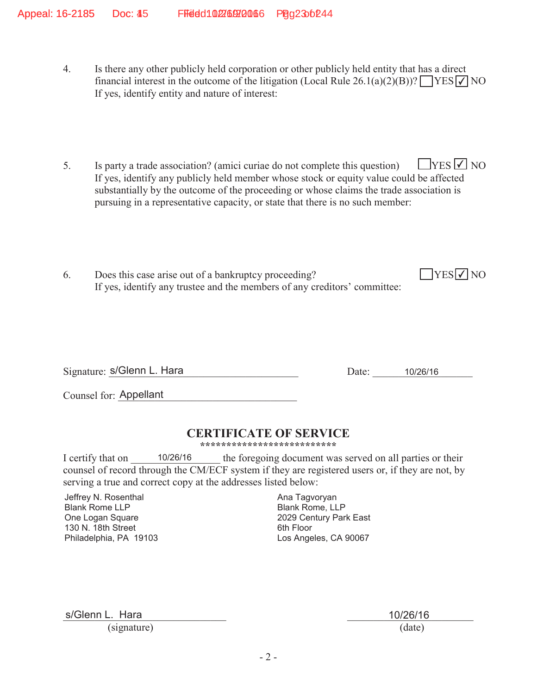- 4. Is there any other publicly held corporation or other publicly held entity that has a direct financial interest in the outcome of the litigation (Local Rule 26.1(a)(2)(B))?  $\sqrt{\text{YES} \cdot \text{V}}$  NO If yes, identify entity and nature of interest:
- 5. Is party a trade association? (amici curiae do not complete this question) If yes, identify any publicly held member whose stock or equity value could be affected substantially by the outcome of the proceeding or whose claims the trade association is pursuing in a representative capacity, or state that there is no such member:  $\Box$ YES  $\Box$  NO
- 6. Does this case arise out of a bankruptcy proceeding? If yes, identify any trustee and the members of any creditors' committee:

Signature: s/Glenn L. Hara 10/26/16

 $YES$   $\overline{V}$  NO

Counsel for: Appellant

### **CERTIFICATE OF SERVICE**

**\*\*\*\*\*\*\*\*\*\*\*\*\*\*\*\*\*\*\*\*\*\*\*\*\*\***

I certify that on  $10/26/16$  the foregoing document was served on all parties or their counsel of record through the CM/ECF system if they are registered users or, if they are not, by serving a true and correct copy at the addresses listed below: 10/26/16

Jeffrey N. Rosenthal Blank Rome LLP One Logan Square 130 N. 18th Street Philadelphia, PA 19103 Ana Tagvoryan Blank Rome, LLP 2029 Century Park East 6th Floor Los Angeles, CA 90067

s/Glenn L. Hara 2002 2012 2022 2023 2024 2026 2024 2022 2024 2022 2024 2022 2024 2022 2022 2022 2022 2022 2023

(signature) (date)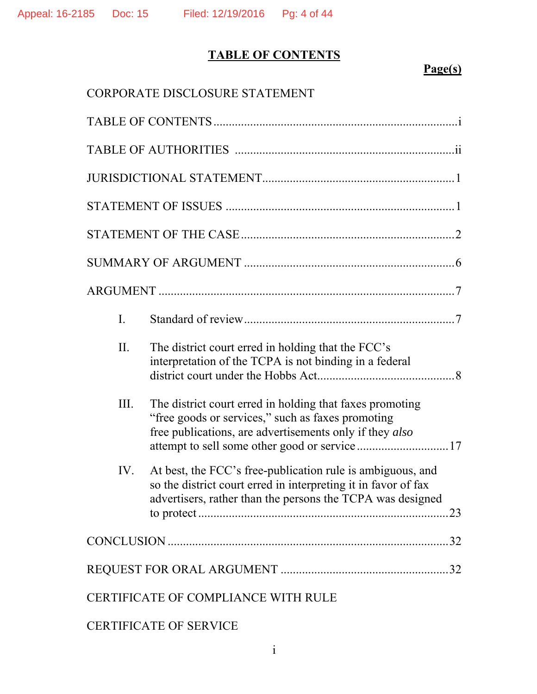## **TABLE OF CONTENTS**

## **Page(s)**

|                                     | CORPORATE DISCLOSURE STATEMENT |                                                                                                                                                                                                                           |  |  |
|-------------------------------------|--------------------------------|---------------------------------------------------------------------------------------------------------------------------------------------------------------------------------------------------------------------------|--|--|
|                                     |                                |                                                                                                                                                                                                                           |  |  |
|                                     |                                |                                                                                                                                                                                                                           |  |  |
|                                     |                                |                                                                                                                                                                                                                           |  |  |
|                                     |                                |                                                                                                                                                                                                                           |  |  |
|                                     |                                |                                                                                                                                                                                                                           |  |  |
|                                     |                                |                                                                                                                                                                                                                           |  |  |
|                                     |                                |                                                                                                                                                                                                                           |  |  |
|                                     | I.                             |                                                                                                                                                                                                                           |  |  |
|                                     | II.                            | The district court erred in holding that the FCC's<br>interpretation of the TCPA is not binding in a federal                                                                                                              |  |  |
|                                     | III.                           | The district court erred in holding that faxes promoting<br>"free goods or services," such as faxes promoting<br>free publications, are advertisements only if they also<br>attempt to sell some other good or service 17 |  |  |
|                                     | IV.                            | At best, the FCC's free-publication rule is ambiguous, and<br>so the district court erred in interpreting it in favor of fax<br>advertisers, rather than the persons the TCPA was designed                                |  |  |
|                                     |                                |                                                                                                                                                                                                                           |  |  |
|                                     |                                |                                                                                                                                                                                                                           |  |  |
| CERTIFICATE OF COMPLIANCE WITH RULE |                                |                                                                                                                                                                                                                           |  |  |

CERTIFICATE OF SERVICE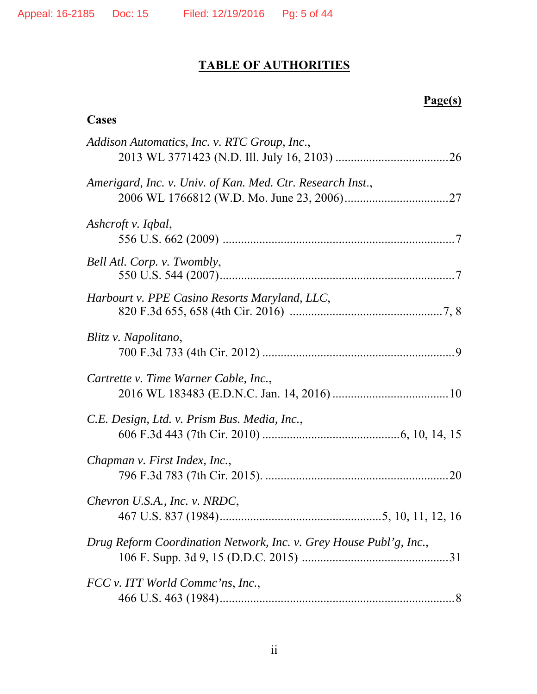## **TABLE OF AUTHORITIES**

## **Page(s)**

### **Cases**

| Addison Automatics, Inc. v. RTC Group, Inc.,                       |
|--------------------------------------------------------------------|
| Amerigard, Inc. v. Univ. of Kan. Med. Ctr. Research Inst.,         |
| Ashcroft v. Iqbal,                                                 |
| Bell Atl. Corp. v. Twombly,                                        |
| Harbourt v. PPE Casino Resorts Maryland, LLC,                      |
| Blitz v. Napolitano,                                               |
| Cartrette v. Time Warner Cable, Inc.,                              |
| C.E. Design, Ltd. v. Prism Bus. Media, Inc.,                       |
| Chapman v. First Index, Inc.,                                      |
| Chevron U.S.A., Inc. v. NRDC,                                      |
| Drug Reform Coordination Network, Inc. v. Grey House Publ'g, Inc., |
| FCC v. ITT World Comme'ns, Inc.,                                   |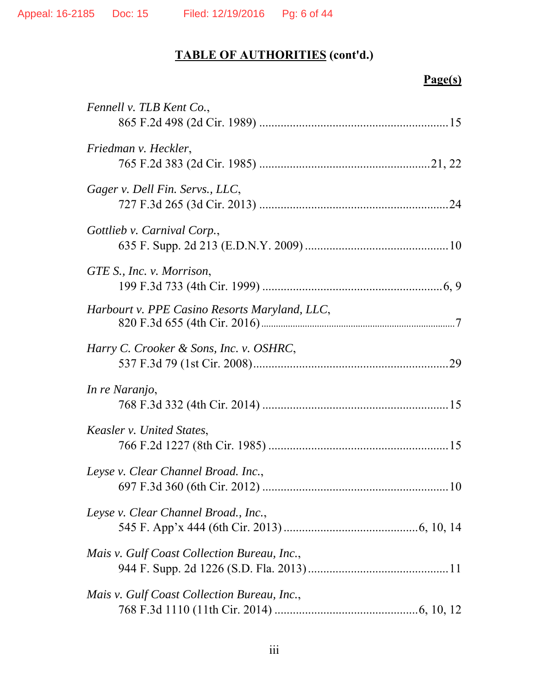# **Page(s)**

| Fennell v. TLB Kent Co.,                      |
|-----------------------------------------------|
| Friedman v. Heckler,                          |
| Gager v. Dell Fin. Servs., LLC,               |
| Gottlieb v. Carnival Corp.,                   |
| GTE S., Inc. v. Morrison,                     |
| Harbourt v. PPE Casino Resorts Maryland, LLC, |
| Harry C. Crooker & Sons, Inc. v. OSHRC,       |
| In re Naranjo,                                |
| Keasler v. United States,                     |
| Leyse v. Clear Channel Broad. Inc.,           |
| Leyse v. Clear Channel Broad., Inc.,          |
| Mais v. Gulf Coast Collection Bureau, Inc.,   |
| Mais v. Gulf Coast Collection Bureau, Inc.,   |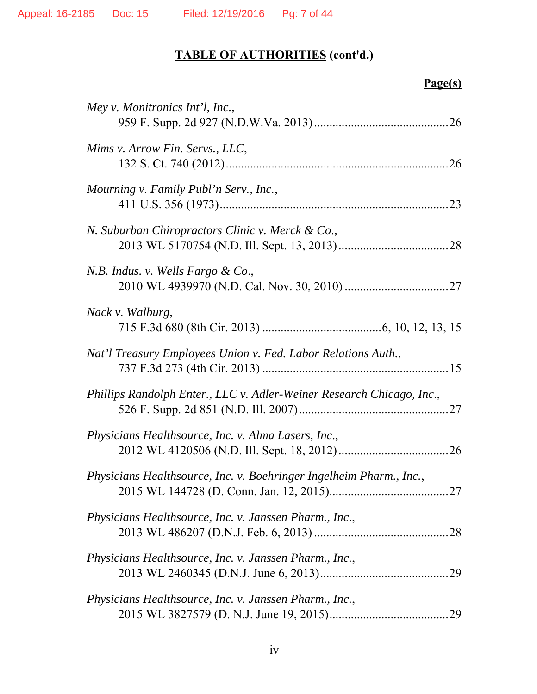# **Page(s)**

| Mey v. Monitronics Int'l, Inc.,                                       |
|-----------------------------------------------------------------------|
| Mims v. Arrow Fin. Servs., LLC,                                       |
| Mourning v. Family Publ'n Serv., Inc.,                                |
| N. Suburban Chiropractors Clinic v. Merck & Co.,                      |
| N.B. Indus. v. Wells Fargo & Co.,                                     |
| <i>Nack v. Walburg,</i>                                               |
| Nat'l Treasury Employees Union v. Fed. Labor Relations Auth.,         |
| Phillips Randolph Enter., LLC v. Adler-Weiner Research Chicago, Inc., |
| Physicians Healthsource, Inc. v. Alma Lasers, Inc.,                   |
| Physicians Healthsource, Inc. v. Boehringer Ingelheim Pharm., Inc.,   |
| Physicians Healthsource, Inc. v. Janssen Pharm., Inc.,                |
| Physicians Healthsource, Inc. v. Janssen Pharm., Inc.,                |
| Physicians Healthsource, Inc. v. Janssen Pharm., Inc.,                |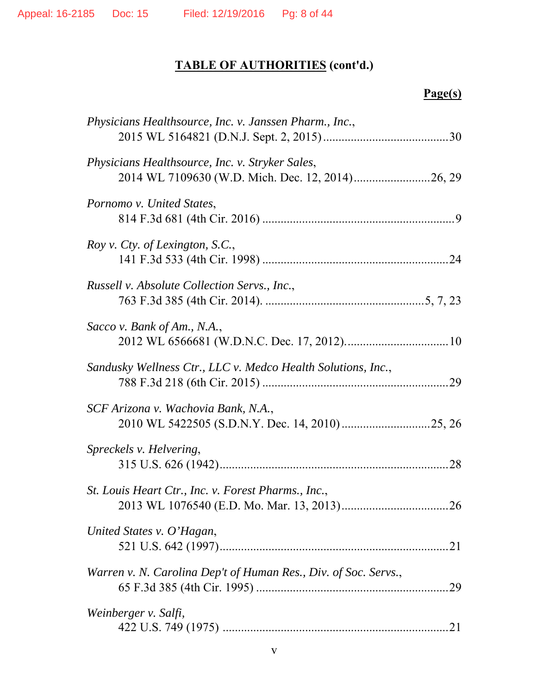# **Page(s)**

| Physicians Healthsource, Inc. v. Janssen Pharm., Inc.,          |  |
|-----------------------------------------------------------------|--|
| Physicians Healthsource, Inc. v. Stryker Sales,                 |  |
| Pornomo v. United States,                                       |  |
| Roy v. Cty. of Lexington, S.C.,                                 |  |
| Russell v. Absolute Collection Servs., Inc.,                    |  |
| Sacco v. Bank of Am., N.A.,                                     |  |
| Sandusky Wellness Ctr., LLC v. Medco Health Solutions, Inc.,    |  |
| SCF Arizona v. Wachovia Bank, N.A.,                             |  |
| Spreckels v. Helvering,                                         |  |
| St. Louis Heart Ctr., Inc. v. Forest Pharms., Inc.,             |  |
| United States v. O'Hagan,                                       |  |
| Warren v. N. Carolina Dep't of Human Res., Div. of Soc. Servs., |  |
| Weinberger v. Salfi,                                            |  |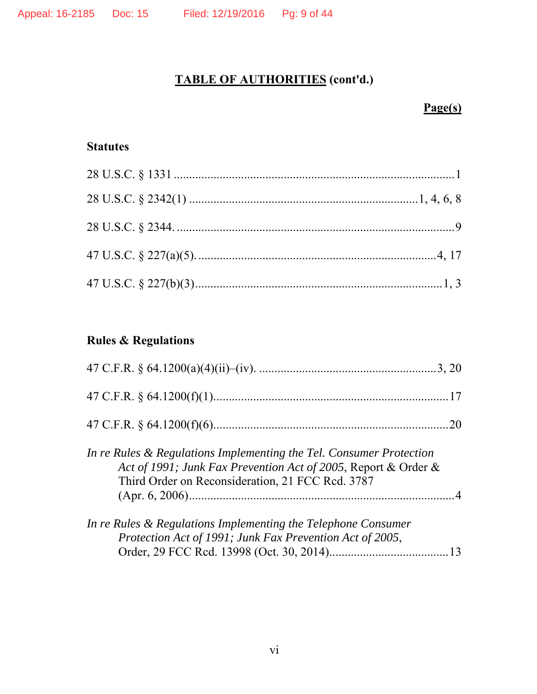## **Page(s)**

### **Statutes**

## **Rules & Regulations**

|                                                                                                                                                                                           | 20 |
|-------------------------------------------------------------------------------------------------------------------------------------------------------------------------------------------|----|
| In re Rules & Regulations Implementing the Tel. Consumer Protection<br>Act of 1991; Junk Fax Prevention Act of 2005, Report & Order &<br>Third Order on Reconsideration, 21 FCC Rcd. 3787 |    |
| In re Rules & Regulations Implementing the Telephone Consumer<br>Protection Act of 1991; Junk Fax Prevention Act of 2005,                                                                 |    |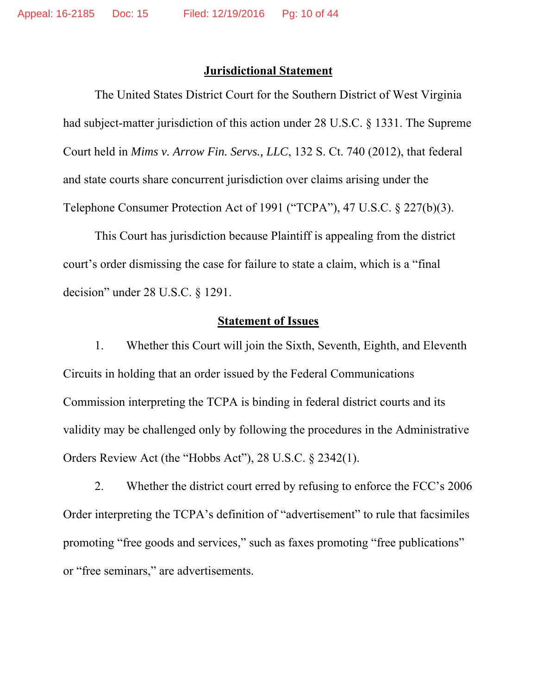#### **Jurisdictional Statement**

The United States District Court for the Southern District of West Virginia had subject-matter jurisdiction of this action under 28 U.S.C. § 1331. The Supreme Court held in *Mims v. Arrow Fin. Servs., LLC*, 132 S. Ct. 740 (2012), that federal and state courts share concurrent jurisdiction over claims arising under the Telephone Consumer Protection Act of 1991 ("TCPA"), 47 U.S.C. § 227(b)(3).

This Court has jurisdiction because Plaintiff is appealing from the district court's order dismissing the case for failure to state a claim, which is a "final decision" under 28 U.S.C. § 1291.

### **Statement of Issues**

1. Whether this Court will join the Sixth, Seventh, Eighth, and Eleventh Circuits in holding that an order issued by the Federal Communications Commission interpreting the TCPA is binding in federal district courts and its validity may be challenged only by following the procedures in the Administrative Orders Review Act (the "Hobbs Act"), 28 U.S.C. § 2342(1).

2. Whether the district court erred by refusing to enforce the FCC's 2006 Order interpreting the TCPA's definition of "advertisement" to rule that facsimiles promoting "free goods and services," such as faxes promoting "free publications" or "free seminars," are advertisements.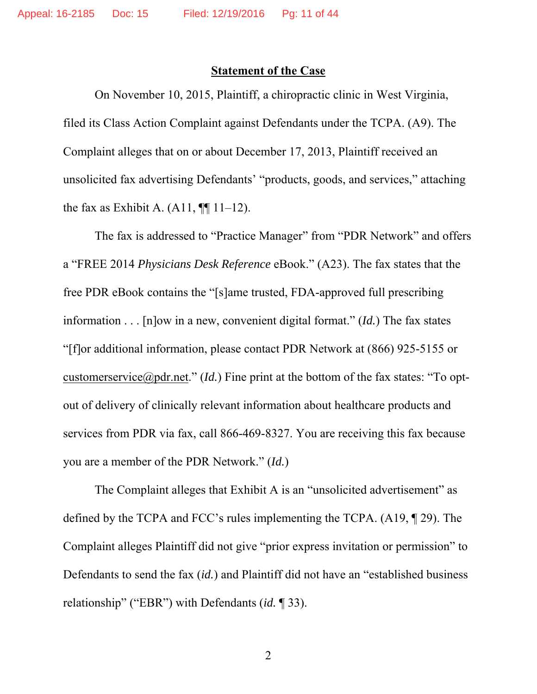### **Statement of the Case**

On November 10, 2015, Plaintiff, a chiropractic clinic in West Virginia, filed its Class Action Complaint against Defendants under the TCPA. (A9). The Complaint alleges that on or about December 17, 2013, Plaintiff received an unsolicited fax advertising Defendants' "products, goods, and services," attaching the fax as Exhibit A.  $(A11, \P\P 11-12)$ .

The fax is addressed to "Practice Manager" from "PDR Network" and offers a "FREE 2014 *Physicians Desk Reference* eBook." (A23). The fax states that the free PDR eBook contains the "[s]ame trusted, FDA-approved full prescribing information . . . [n]ow in a new, convenient digital format." (*Id.*) The fax states "[f]or additional information, please contact PDR Network at (866) 925-5155 or customerservice@pdr.net." (*Id.*) Fine print at the bottom of the fax states: "To optout of delivery of clinically relevant information about healthcare products and services from PDR via fax, call 866-469-8327. You are receiving this fax because you are a member of the PDR Network." (*Id.*)

The Complaint alleges that Exhibit A is an "unsolicited advertisement" as defined by the TCPA and FCC's rules implementing the TCPA. (A19, ¶ 29). The Complaint alleges Plaintiff did not give "prior express invitation or permission" to Defendants to send the fax (*id.*) and Plaintiff did not have an "established business relationship" ("EBR") with Defendants (*id.* ¶ 33).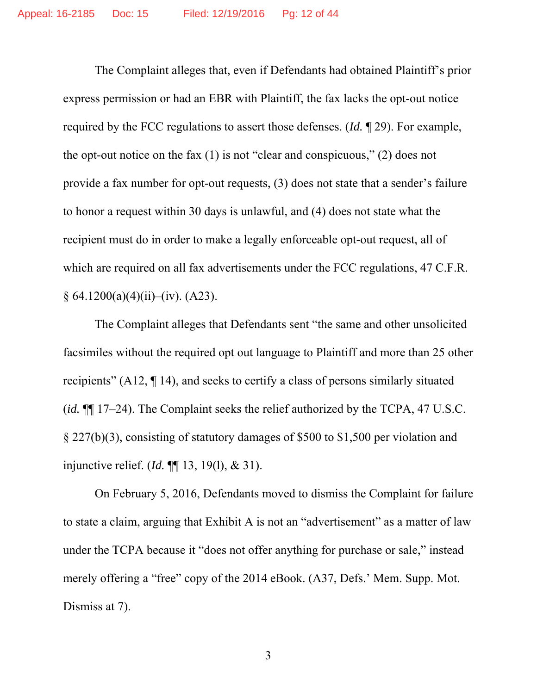The Complaint alleges that, even if Defendants had obtained Plaintiff's prior express permission or had an EBR with Plaintiff, the fax lacks the opt-out notice required by the FCC regulations to assert those defenses. (*Id.* ¶ 29). For example, the opt-out notice on the fax (1) is not "clear and conspicuous," (2) does not provide a fax number for opt-out requests, (3) does not state that a sender's failure to honor a request within 30 days is unlawful, and (4) does not state what the recipient must do in order to make a legally enforceable opt-out request, all of which are required on all fax advertisements under the FCC regulations, 47 C.F.R.  $§ 64.1200(a)(4)(ii)–(iv). (A23).$ 

The Complaint alleges that Defendants sent "the same and other unsolicited facsimiles without the required opt out language to Plaintiff and more than 25 other recipients" (A12, ¶ 14), and seeks to certify a class of persons similarly situated (*id.* ¶¶ 17–24). The Complaint seeks the relief authorized by the TCPA, 47 U.S.C. § 227(b)(3), consisting of statutory damages of \$500 to \$1,500 per violation and injunctive relief. (*Id.* ¶¶ 13, 19(l), & 31).

On February 5, 2016, Defendants moved to dismiss the Complaint for failure to state a claim, arguing that Exhibit A is not an "advertisement" as a matter of law under the TCPA because it "does not offer anything for purchase or sale," instead merely offering a "free" copy of the 2014 eBook. (A37, Defs.' Mem. Supp. Mot. Dismiss at 7).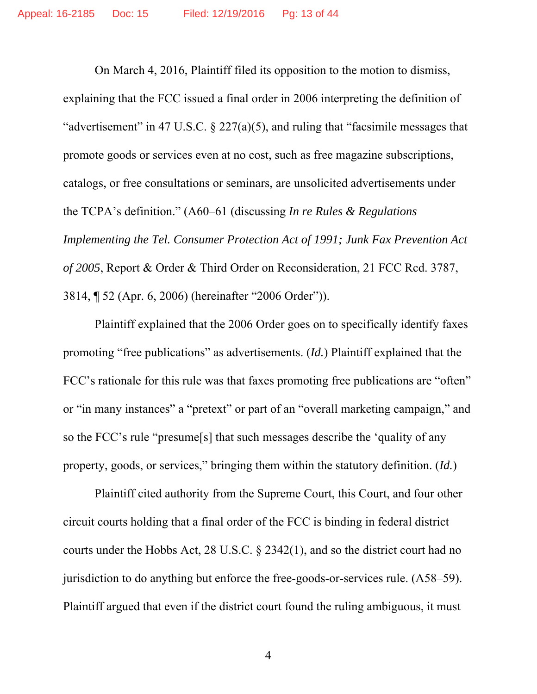On March 4, 2016, Plaintiff filed its opposition to the motion to dismiss, explaining that the FCC issued a final order in 2006 interpreting the definition of "advertisement" in 47 U.S.C. § 227(a)(5), and ruling that "facsimile messages that promote goods or services even at no cost, such as free magazine subscriptions, catalogs, or free consultations or seminars, are unsolicited advertisements under the TCPA's definition." (A60–61 (discussing *In re Rules & Regulations Implementing the Tel. Consumer Protection Act of 1991; Junk Fax Prevention Act of 2005*, Report & Order & Third Order on Reconsideration, 21 FCC Rcd. 3787, 3814, ¶ 52 (Apr. 6, 2006) (hereinafter "2006 Order")).

Plaintiff explained that the 2006 Order goes on to specifically identify faxes promoting "free publications" as advertisements. (*Id.*) Plaintiff explained that the FCC's rationale for this rule was that faxes promoting free publications are "often" or "in many instances" a "pretext" or part of an "overall marketing campaign," and so the FCC's rule "presume[s] that such messages describe the 'quality of any property, goods, or services," bringing them within the statutory definition. (*Id.*)

Plaintiff cited authority from the Supreme Court, this Court, and four other circuit courts holding that a final order of the FCC is binding in federal district courts under the Hobbs Act, 28 U.S.C. § 2342(1), and so the district court had no jurisdiction to do anything but enforce the free-goods-or-services rule. (A58–59). Plaintiff argued that even if the district court found the ruling ambiguous, it must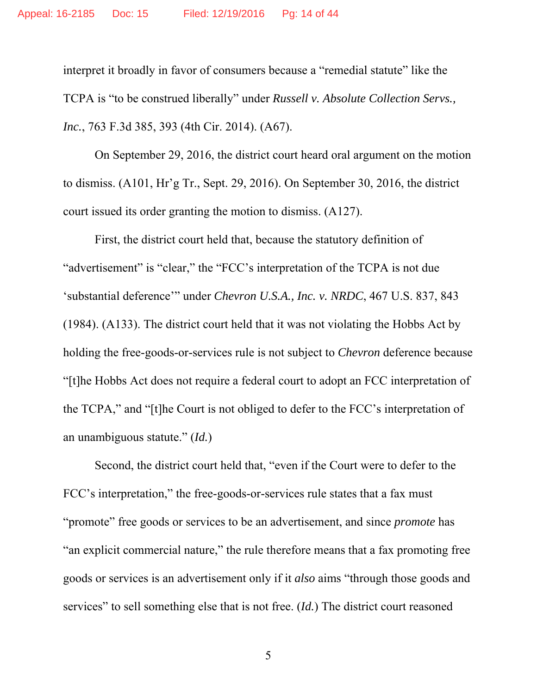interpret it broadly in favor of consumers because a "remedial statute" like the TCPA is "to be construed liberally" under *Russell v. Absolute Collection Servs., Inc.*, 763 F.3d 385, 393 (4th Cir. 2014). (A67).

On September 29, 2016, the district court heard oral argument on the motion to dismiss. (A101, Hr'g Tr., Sept. 29, 2016). On September 30, 2016, the district court issued its order granting the motion to dismiss. (A127).

First, the district court held that, because the statutory definition of "advertisement" is "clear," the "FCC's interpretation of the TCPA is not due 'substantial deference'" under *Chevron U.S.A., Inc. v. NRDC*, 467 U.S. 837, 843 (1984). (A133). The district court held that it was not violating the Hobbs Act by holding the free-goods-or-services rule is not subject to *Chevron* deference because "[t]he Hobbs Act does not require a federal court to adopt an FCC interpretation of the TCPA," and "[t]he Court is not obliged to defer to the FCC's interpretation of an unambiguous statute." (*Id.*)

Second, the district court held that, "even if the Court were to defer to the FCC's interpretation," the free-goods-or-services rule states that a fax must "promote" free goods or services to be an advertisement, and since *promote* has "an explicit commercial nature," the rule therefore means that a fax promoting free goods or services is an advertisement only if it *also* aims "through those goods and services" to sell something else that is not free. (*Id.*) The district court reasoned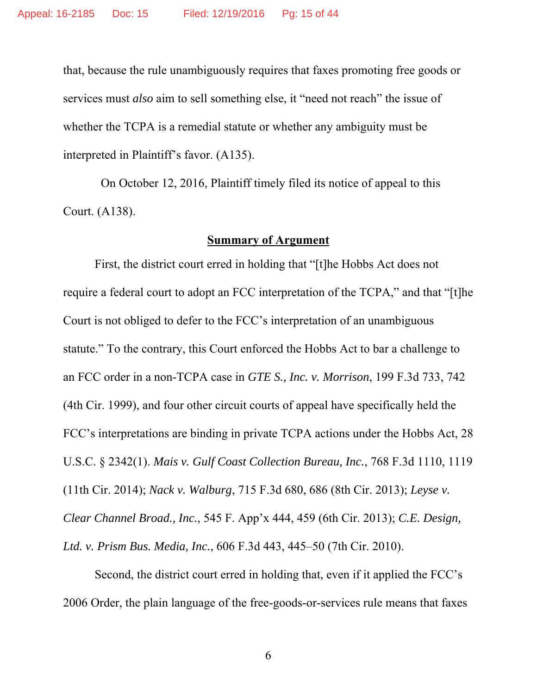that, because the rule unambiguously requires that faxes promoting free goods or services must *also* aim to sell something else, it "need not reach" the issue of whether the TCPA is a remedial statute or whether any ambiguity must be interpreted in Plaintiff's favor. (A135).

 On October 12, 2016, Plaintiff timely filed its notice of appeal to this Court. (A138).

#### **Summary of Argument**

First, the district court erred in holding that "[t]he Hobbs Act does not require a federal court to adopt an FCC interpretation of the TCPA," and that "[t]he Court is not obliged to defer to the FCC's interpretation of an unambiguous statute." To the contrary, this Court enforced the Hobbs Act to bar a challenge to an FCC order in a non-TCPA case in *GTE S., Inc. v. Morrison*, 199 F.3d 733, 742 (4th Cir. 1999), and four other circuit courts of appeal have specifically held the FCC's interpretations are binding in private TCPA actions under the Hobbs Act, 28 U.S.C. § 2342(1). *Mais v. Gulf Coast Collection Bureau, Inc.*, 768 F.3d 1110, 1119 (11th Cir. 2014); *Nack v. Walburg*, 715 F.3d 680, 686 (8th Cir. 2013); *Leyse v. Clear Channel Broad., Inc.*, 545 F. App'x 444, 459 (6th Cir. 2013); *C.E. Design, Ltd. v. Prism Bus. Media, Inc.*, 606 F.3d 443, 445–50 (7th Cir. 2010).

Second, the district court erred in holding that, even if it applied the FCC's 2006 Order, the plain language of the free-goods-or-services rule means that faxes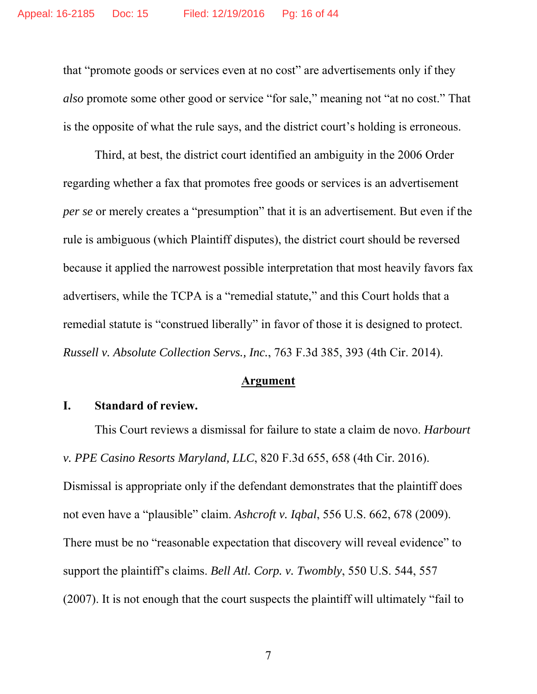that "promote goods or services even at no cost" are advertisements only if they *also* promote some other good or service "for sale," meaning not "at no cost." That is the opposite of what the rule says, and the district court's holding is erroneous.

Third, at best, the district court identified an ambiguity in the 2006 Order regarding whether a fax that promotes free goods or services is an advertisement *per se* or merely creates a "presumption" that it is an advertisement. But even if the rule is ambiguous (which Plaintiff disputes), the district court should be reversed because it applied the narrowest possible interpretation that most heavily favors fax advertisers, while the TCPA is a "remedial statute," and this Court holds that a remedial statute is "construed liberally" in favor of those it is designed to protect. *Russell v. Absolute Collection Servs., Inc.*, 763 F.3d 385, 393 (4th Cir. 2014).

#### **Argument**

#### **I. Standard of review.**

This Court reviews a dismissal for failure to state a claim de novo. *Harbourt v. PPE Casino Resorts Maryland, LLC*, 820 F.3d 655, 658 (4th Cir. 2016). Dismissal is appropriate only if the defendant demonstrates that the plaintiff does not even have a "plausible" claim. *Ashcroft v. Iqbal*, 556 U.S. 662, 678 (2009). There must be no "reasonable expectation that discovery will reveal evidence" to support the plaintiff's claims. *Bell Atl. Corp. v. Twombly*, 550 U.S. 544, 557 (2007). It is not enough that the court suspects the plaintiff will ultimately "fail to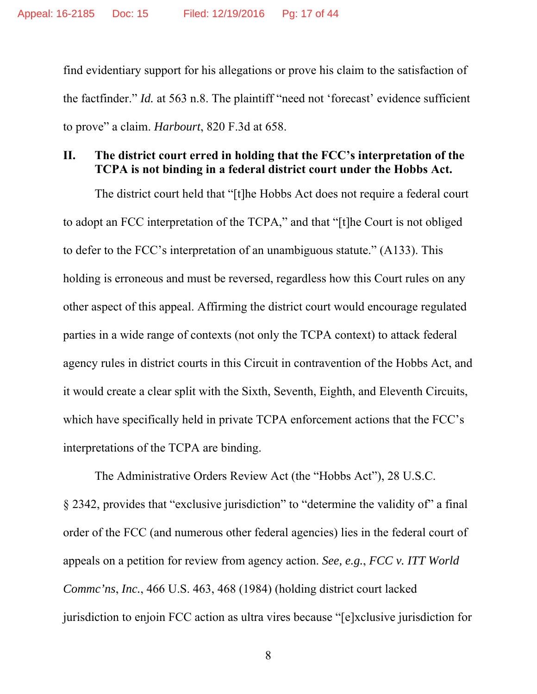find evidentiary support for his allegations or prove his claim to the satisfaction of the factfinder." *Id.* at 563 n.8. The plaintiff "need not 'forecast' evidence sufficient to prove" a claim. *Harbourt*, 820 F.3d at 658.

### **II. The district court erred in holding that the FCC's interpretation of the TCPA is not binding in a federal district court under the Hobbs Act.**

 The district court held that "[t]he Hobbs Act does not require a federal court to adopt an FCC interpretation of the TCPA," and that "[t]he Court is not obliged to defer to the FCC's interpretation of an unambiguous statute." (A133). This holding is erroneous and must be reversed, regardless how this Court rules on any other aspect of this appeal. Affirming the district court would encourage regulated parties in a wide range of contexts (not only the TCPA context) to attack federal agency rules in district courts in this Circuit in contravention of the Hobbs Act, and it would create a clear split with the Sixth, Seventh, Eighth, and Eleventh Circuits, which have specifically held in private TCPA enforcement actions that the FCC's interpretations of the TCPA are binding.

The Administrative Orders Review Act (the "Hobbs Act"), 28 U.S.C. § 2342, provides that "exclusive jurisdiction" to "determine the validity of" a final order of the FCC (and numerous other federal agencies) lies in the federal court of appeals on a petition for review from agency action. *See, e.g.*, *FCC v. ITT World Commc'ns*, *Inc.*, 466 U.S. 463, 468 (1984) (holding district court lacked jurisdiction to enjoin FCC action as ultra vires because "[e]xclusive jurisdiction for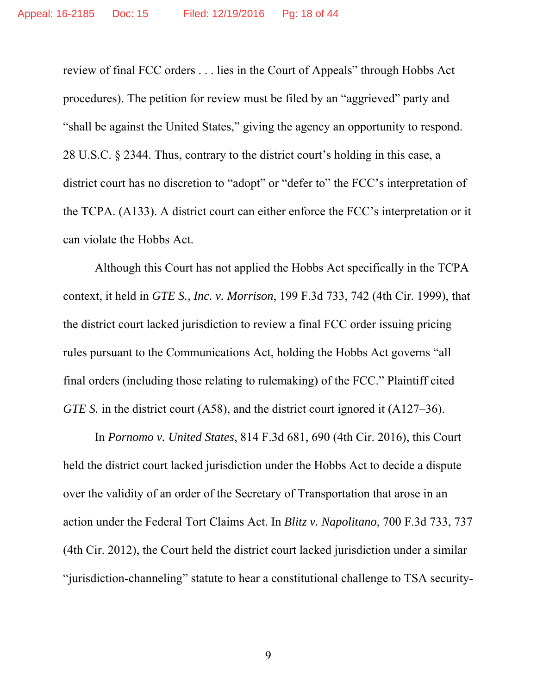review of final FCC orders . . . lies in the Court of Appeals" through Hobbs Act procedures). The petition for review must be filed by an "aggrieved" party and "shall be against the United States," giving the agency an opportunity to respond. 28 U.S.C. § 2344. Thus, contrary to the district court's holding in this case, a district court has no discretion to "adopt" or "defer to" the FCC's interpretation of the TCPA. (A133). A district court can either enforce the FCC's interpretation or it can violate the Hobbs Act.

Although this Court has not applied the Hobbs Act specifically in the TCPA context, it held in *GTE S., Inc. v. Morrison*, 199 F.3d 733, 742 (4th Cir. 1999), that the district court lacked jurisdiction to review a final FCC order issuing pricing rules pursuant to the Communications Act, holding the Hobbs Act governs "all final orders (including those relating to rulemaking) of the FCC." Plaintiff cited *GTE S.* in the district court (A58), and the district court ignored it (A127–36).

In *Pornomo v. United States*, 814 F.3d 681, 690 (4th Cir. 2016), this Court held the district court lacked jurisdiction under the Hobbs Act to decide a dispute over the validity of an order of the Secretary of Transportation that arose in an action under the Federal Tort Claims Act. In *Blitz v. Napolitano*, 700 F.3d 733, 737 (4th Cir. 2012), the Court held the district court lacked jurisdiction under a similar "jurisdiction-channeling" statute to hear a constitutional challenge to TSA security-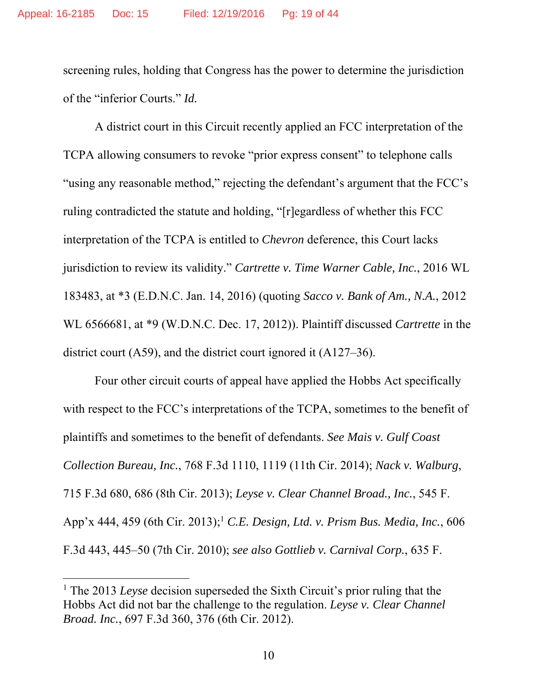screening rules, holding that Congress has the power to determine the jurisdiction of the "inferior Courts." *Id.*

A district court in this Circuit recently applied an FCC interpretation of the TCPA allowing consumers to revoke "prior express consent" to telephone calls "using any reasonable method," rejecting the defendant's argument that the FCC's ruling contradicted the statute and holding, "[r]egardless of whether this FCC interpretation of the TCPA is entitled to *Chevron* deference, this Court lacks jurisdiction to review its validity." *Cartrette v. Time Warner Cable, Inc.*, 2016 WL 183483, at \*3 (E.D.N.C. Jan. 14, 2016) (quoting *Sacco v. Bank of Am., N.A.*, 2012 WL 6566681, at \*9 (W.D.N.C. Dec. 17, 2012)). Plaintiff discussed *Cartrette* in the district court (A59), and the district court ignored it (A127–36).

Four other circuit courts of appeal have applied the Hobbs Act specifically with respect to the FCC's interpretations of the TCPA, sometimes to the benefit of plaintiffs and sometimes to the benefit of defendants. *See Mais v. Gulf Coast Collection Bureau, Inc.*, 768 F.3d 1110, 1119 (11th Cir. 2014); *Nack v. Walburg*, 715 F.3d 680, 686 (8th Cir. 2013); *Leyse v. Clear Channel Broad., Inc.*, 545 F. App'x 444, 459 (6th Cir. 2013);1 *C.E. Design, Ltd. v. Prism Bus. Media, Inc.*, 606 F.3d 443, 445–50 (7th Cir. 2010); *see also Gottlieb v. Carnival Corp.*, 635 F.

<sup>&</sup>lt;sup>1</sup> The 2013 *Leyse* decision superseded the Sixth Circuit's prior ruling that the Hobbs Act did not bar the challenge to the regulation. *Leyse v. Clear Channel Broad. Inc.*, 697 F.3d 360, 376 (6th Cir. 2012).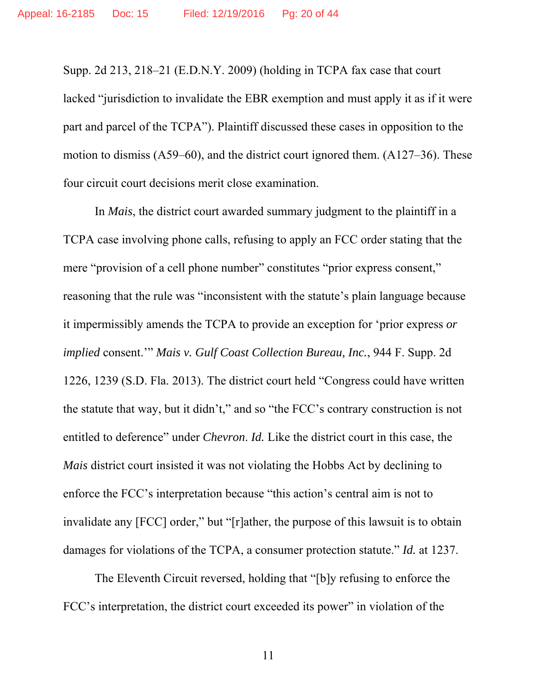Supp. 2d 213, 218–21 (E.D.N.Y. 2009) (holding in TCPA fax case that court lacked "jurisdiction to invalidate the EBR exemption and must apply it as if it were part and parcel of the TCPA"). Plaintiff discussed these cases in opposition to the motion to dismiss (A59–60), and the district court ignored them. (A127–36). These four circuit court decisions merit close examination.

In *Mais*, the district court awarded summary judgment to the plaintiff in a TCPA case involving phone calls, refusing to apply an FCC order stating that the mere "provision of a cell phone number" constitutes "prior express consent," reasoning that the rule was "inconsistent with the statute's plain language because it impermissibly amends the TCPA to provide an exception for 'prior express *or implied* consent.'" *Mais v. Gulf Coast Collection Bureau, Inc.*, 944 F. Supp. 2d 1226, 1239 (S.D. Fla. 2013). The district court held "Congress could have written the statute that way, but it didn't," and so "the FCC's contrary construction is not entitled to deference" under *Chevron*. *Id.* Like the district court in this case, the *Mais* district court insisted it was not violating the Hobbs Act by declining to enforce the FCC's interpretation because "this action's central aim is not to invalidate any [FCC] order," but "[r]ather, the purpose of this lawsuit is to obtain damages for violations of the TCPA, a consumer protection statute." *Id.* at 1237.

The Eleventh Circuit reversed, holding that "[b]y refusing to enforce the FCC's interpretation, the district court exceeded its power" in violation of the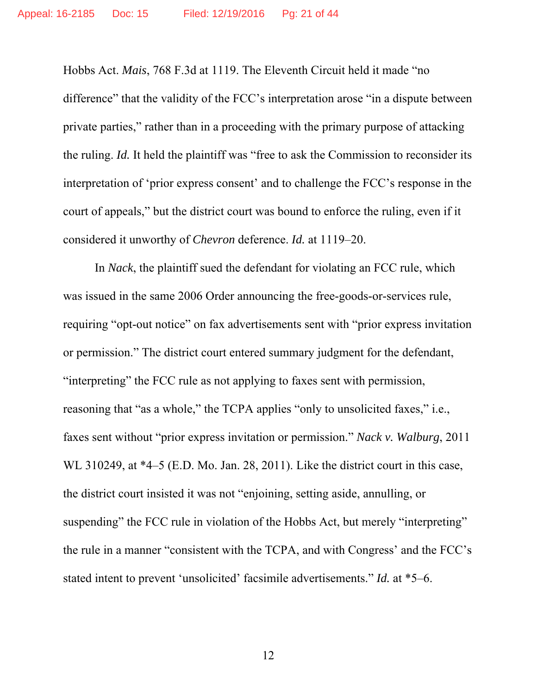Hobbs Act. *Mais*, 768 F.3d at 1119. The Eleventh Circuit held it made "no difference" that the validity of the FCC's interpretation arose "in a dispute between private parties," rather than in a proceeding with the primary purpose of attacking the ruling. *Id.* It held the plaintiff was "free to ask the Commission to reconsider its interpretation of 'prior express consent' and to challenge the FCC's response in the court of appeals," but the district court was bound to enforce the ruling, even if it considered it unworthy of *Chevron* deference. *Id.* at 1119–20.

In *Nack*, the plaintiff sued the defendant for violating an FCC rule, which was issued in the same 2006 Order announcing the free-goods-or-services rule, requiring "opt-out notice" on fax advertisements sent with "prior express invitation or permission." The district court entered summary judgment for the defendant, "interpreting" the FCC rule as not applying to faxes sent with permission, reasoning that "as a whole," the TCPA applies "only to unsolicited faxes," i.e., faxes sent without "prior express invitation or permission." *Nack v. Walburg*, 2011 WL 310249, at \*4–5 (E.D. Mo. Jan. 28, 2011). Like the district court in this case, the district court insisted it was not "enjoining, setting aside, annulling, or suspending" the FCC rule in violation of the Hobbs Act, but merely "interpreting" the rule in a manner "consistent with the TCPA, and with Congress' and the FCC's stated intent to prevent 'unsolicited' facsimile advertisements." *Id.* at \*5–6.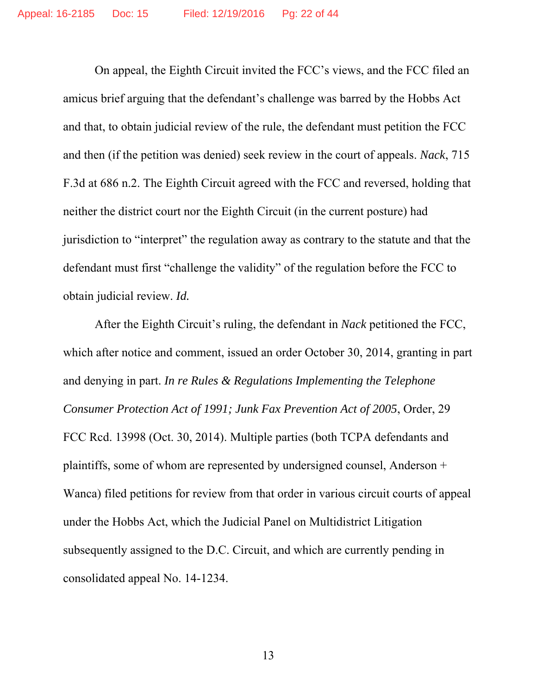On appeal, the Eighth Circuit invited the FCC's views, and the FCC filed an amicus brief arguing that the defendant's challenge was barred by the Hobbs Act and that, to obtain judicial review of the rule, the defendant must petition the FCC and then (if the petition was denied) seek review in the court of appeals. *Nack*, 715 F.3d at 686 n.2. The Eighth Circuit agreed with the FCC and reversed, holding that neither the district court nor the Eighth Circuit (in the current posture) had jurisdiction to "interpret" the regulation away as contrary to the statute and that the defendant must first "challenge the validity" of the regulation before the FCC to obtain judicial review. *Id.* 

After the Eighth Circuit's ruling, the defendant in *Nack* petitioned the FCC, which after notice and comment, issued an order October 30, 2014, granting in part and denying in part. *In re Rules & Regulations Implementing the Telephone Consumer Protection Act of 1991; Junk Fax Prevention Act of 2005*, Order, 29 FCC Rcd. 13998 (Oct. 30, 2014). Multiple parties (both TCPA defendants and plaintiffs, some of whom are represented by undersigned counsel, Anderson + Wanca) filed petitions for review from that order in various circuit courts of appeal under the Hobbs Act, which the Judicial Panel on Multidistrict Litigation subsequently assigned to the D.C. Circuit, and which are currently pending in consolidated appeal No. 14-1234.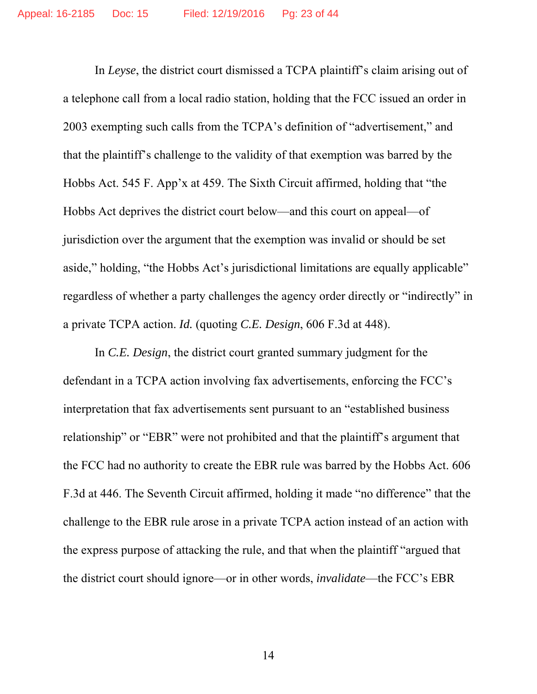In *Leyse*, the district court dismissed a TCPA plaintiff's claim arising out of a telephone call from a local radio station, holding that the FCC issued an order in 2003 exempting such calls from the TCPA's definition of "advertisement," and that the plaintiff's challenge to the validity of that exemption was barred by the Hobbs Act. 545 F. App'x at 459. The Sixth Circuit affirmed, holding that "the Hobbs Act deprives the district court below—and this court on appeal—of jurisdiction over the argument that the exemption was invalid or should be set aside," holding, "the Hobbs Act's jurisdictional limitations are equally applicable" regardless of whether a party challenges the agency order directly or "indirectly" in a private TCPA action. *Id.* (quoting *C.E. Design*, 606 F.3d at 448).

In *C.E. Design*, the district court granted summary judgment for the defendant in a TCPA action involving fax advertisements, enforcing the FCC's interpretation that fax advertisements sent pursuant to an "established business relationship" or "EBR" were not prohibited and that the plaintiff's argument that the FCC had no authority to create the EBR rule was barred by the Hobbs Act. 606 F.3d at 446. The Seventh Circuit affirmed, holding it made "no difference" that the challenge to the EBR rule arose in a private TCPA action instead of an action with the express purpose of attacking the rule, and that when the plaintiff "argued that the district court should ignore—or in other words, *invalidate*—the FCC's EBR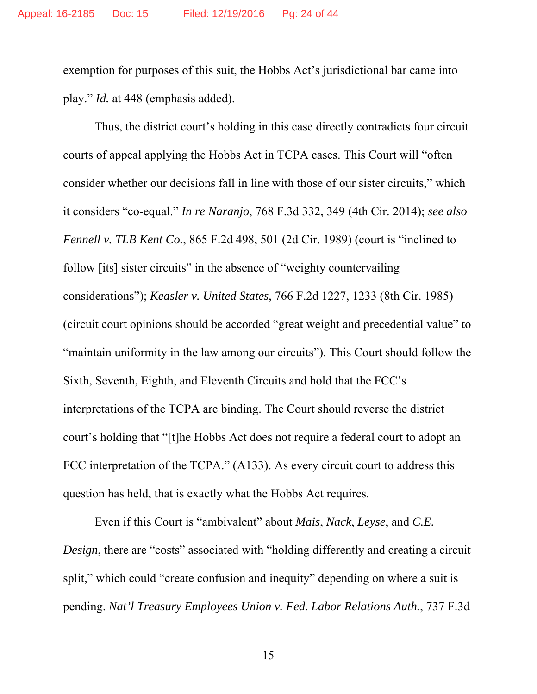exemption for purposes of this suit, the Hobbs Act's jurisdictional bar came into play." *Id.* at 448 (emphasis added).

Thus, the district court's holding in this case directly contradicts four circuit courts of appeal applying the Hobbs Act in TCPA cases. This Court will "often consider whether our decisions fall in line with those of our sister circuits," which it considers "co-equal." *In re Naranjo*, 768 F.3d 332, 349 (4th Cir. 2014); *see also Fennell v. TLB Kent Co.*, 865 F.2d 498, 501 (2d Cir. 1989) (court is "inclined to follow [its] sister circuits" in the absence of "weighty countervailing considerations"); *Keasler v. United States*, 766 F.2d 1227, 1233 (8th Cir. 1985) (circuit court opinions should be accorded "great weight and precedential value" to "maintain uniformity in the law among our circuits"). This Court should follow the Sixth, Seventh, Eighth, and Eleventh Circuits and hold that the FCC's interpretations of the TCPA are binding. The Court should reverse the district court's holding that "[t]he Hobbs Act does not require a federal court to adopt an FCC interpretation of the TCPA." (A133). As every circuit court to address this question has held, that is exactly what the Hobbs Act requires.

Even if this Court is "ambivalent" about *Mais*, *Nack*, *Leyse*, and *C.E. Design*, there are "costs" associated with "holding differently and creating a circuit split," which could "create confusion and inequity" depending on where a suit is pending. *Nat'l Treasury Employees Union v. Fed. Labor Relations Auth.*, 737 F.3d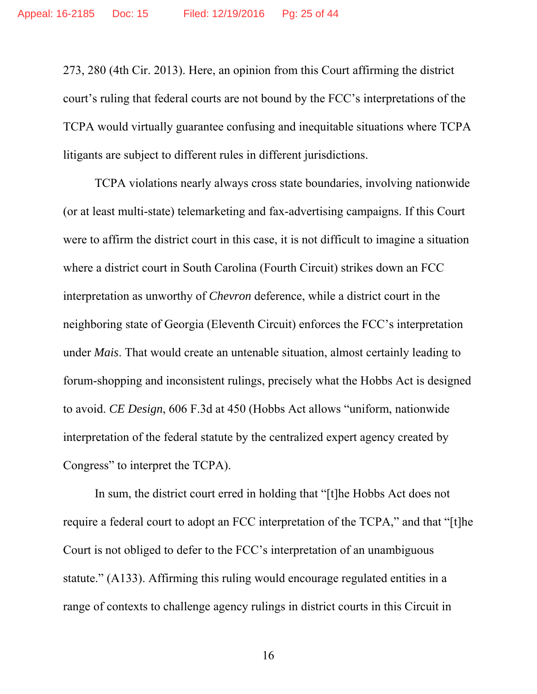273, 280 (4th Cir. 2013). Here, an opinion from this Court affirming the district court's ruling that federal courts are not bound by the FCC's interpretations of the TCPA would virtually guarantee confusing and inequitable situations where TCPA litigants are subject to different rules in different jurisdictions.

TCPA violations nearly always cross state boundaries, involving nationwide (or at least multi-state) telemarketing and fax-advertising campaigns. If this Court were to affirm the district court in this case, it is not difficult to imagine a situation where a district court in South Carolina (Fourth Circuit) strikes down an FCC interpretation as unworthy of *Chevron* deference, while a district court in the neighboring state of Georgia (Eleventh Circuit) enforces the FCC's interpretation under *Mais*. That would create an untenable situation, almost certainly leading to forum-shopping and inconsistent rulings, precisely what the Hobbs Act is designed to avoid. *CE Design*, 606 F.3d at 450 (Hobbs Act allows "uniform, nationwide interpretation of the federal statute by the centralized expert agency created by Congress" to interpret the TCPA).

In sum, the district court erred in holding that "[t]he Hobbs Act does not require a federal court to adopt an FCC interpretation of the TCPA," and that "[t]he Court is not obliged to defer to the FCC's interpretation of an unambiguous statute." (A133). Affirming this ruling would encourage regulated entities in a range of contexts to challenge agency rulings in district courts in this Circuit in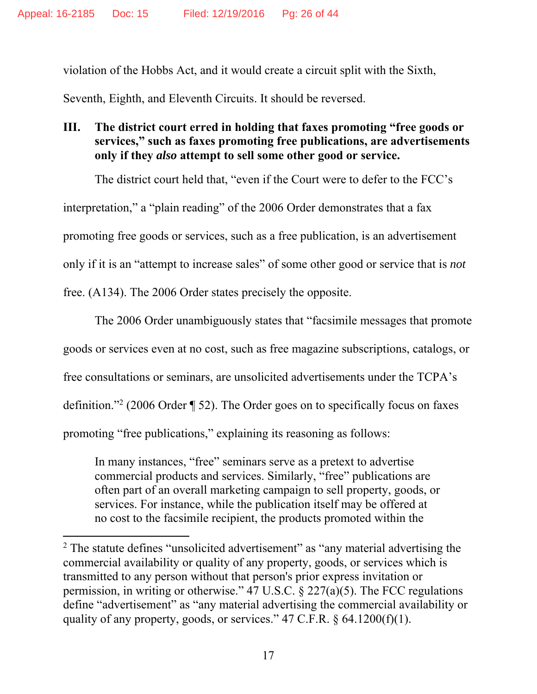violation of the Hobbs Act, and it would create a circuit split with the Sixth,

Seventh, Eighth, and Eleventh Circuits. It should be reversed.

### **III. The district court erred in holding that faxes promoting "free goods or services," such as faxes promoting free publications, are advertisements only if they** *also* **attempt to sell some other good or service.**

The district court held that, "even if the Court were to defer to the FCC's interpretation," a "plain reading" of the 2006 Order demonstrates that a fax promoting free goods or services, such as a free publication, is an advertisement only if it is an "attempt to increase sales" of some other good or service that is *not* free. (A134). The 2006 Order states precisely the opposite.

The 2006 Order unambiguously states that "facsimile messages that promote goods or services even at no cost, such as free magazine subscriptions, catalogs, or free consultations or seminars, are unsolicited advertisements under the TCPA's definition."<sup>2</sup> (2006 Order  $\P$  52). The Order goes on to specifically focus on faxes promoting "free publications," explaining its reasoning as follows:

In many instances, "free" seminars serve as a pretext to advertise commercial products and services. Similarly, "free" publications are often part of an overall marketing campaign to sell property, goods, or services. For instance, while the publication itself may be offered at no cost to the facsimile recipient, the products promoted within the

<sup>&</sup>lt;sup>2</sup> The statute defines "unsolicited advertisement" as "any material advertising the commercial availability or quality of any property, goods, or services which is transmitted to any person without that person's prior express invitation or permission, in writing or otherwise." 47 U.S.C.  $\S 227(a)(5)$ . The FCC regulations define "advertisement" as "any material advertising the commercial availability or quality of any property, goods, or services."  $47$  C.F.R.  $\frac{64.1200(f)(1)}{2}$ .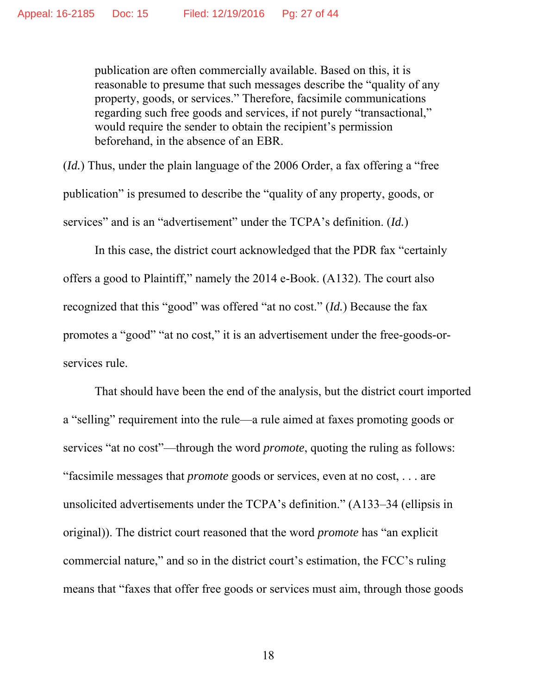publication are often commercially available. Based on this, it is reasonable to presume that such messages describe the "quality of any property, goods, or services." Therefore, facsimile communications regarding such free goods and services, if not purely "transactional," would require the sender to obtain the recipient's permission beforehand, in the absence of an EBR.

(*Id.*) Thus, under the plain language of the 2006 Order, a fax offering a "free publication" is presumed to describe the "quality of any property, goods, or services" and is an "advertisement" under the TCPA's definition. (*Id.*)

In this case, the district court acknowledged that the PDR fax "certainly offers a good to Plaintiff," namely the 2014 e-Book. (A132). The court also recognized that this "good" was offered "at no cost." (*Id.*) Because the fax promotes a "good" "at no cost," it is an advertisement under the free-goods-orservices rule.

That should have been the end of the analysis, but the district court imported a "selling" requirement into the rule—a rule aimed at faxes promoting goods or services "at no cost"—through the word *promote*, quoting the ruling as follows: "facsimile messages that *promote* goods or services, even at no cost, . . . are unsolicited advertisements under the TCPA's definition." (A133–34 (ellipsis in original)). The district court reasoned that the word *promote* has "an explicit commercial nature," and so in the district court's estimation, the FCC's ruling means that "faxes that offer free goods or services must aim, through those goods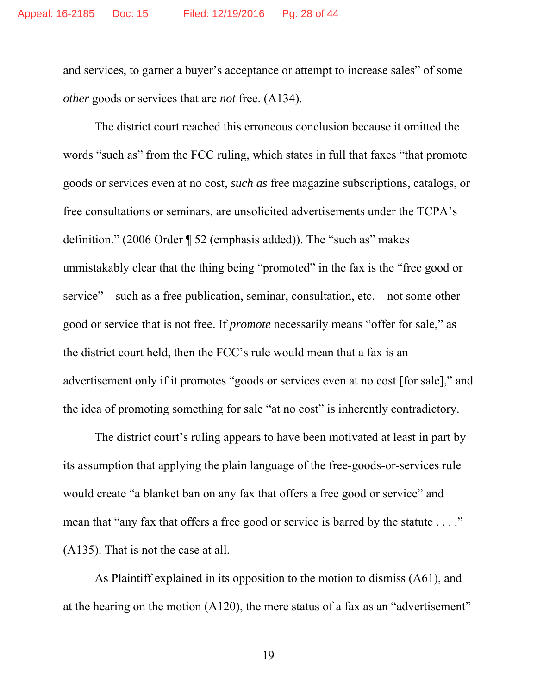and services, to garner a buyer's acceptance or attempt to increase sales" of some *other* goods or services that are *not* free. (A134).

The district court reached this erroneous conclusion because it omitted the words "such as" from the FCC ruling, which states in full that faxes "that promote goods or services even at no cost, *such as* free magazine subscriptions, catalogs, or free consultations or seminars, are unsolicited advertisements under the TCPA's definition." (2006 Order ¶ 52 (emphasis added)). The "such as" makes unmistakably clear that the thing being "promoted" in the fax is the "free good or service"—such as a free publication, seminar, consultation, etc.—not some other good or service that is not free. If *promote* necessarily means "offer for sale," as the district court held, then the FCC's rule would mean that a fax is an advertisement only if it promotes "goods or services even at no cost [for sale]," and the idea of promoting something for sale "at no cost" is inherently contradictory.

The district court's ruling appears to have been motivated at least in part by its assumption that applying the plain language of the free-goods-or-services rule would create "a blanket ban on any fax that offers a free good or service" and mean that "any fax that offers a free good or service is barred by the statute . . . ." (A135). That is not the case at all.

As Plaintiff explained in its opposition to the motion to dismiss (A61), and at the hearing on the motion (A120), the mere status of a fax as an "advertisement"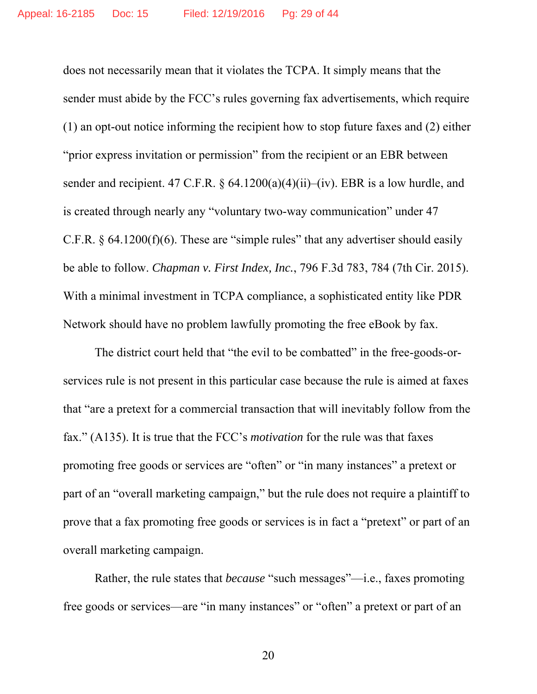does not necessarily mean that it violates the TCPA. It simply means that the sender must abide by the FCC's rules governing fax advertisements, which require (1) an opt-out notice informing the recipient how to stop future faxes and (2) either "prior express invitation or permission" from the recipient or an EBR between sender and recipient. 47 C.F.R.  $\frac{64.1200(a)(4)(ii)-(iv)}{BRR}$  is a low hurdle, and is created through nearly any "voluntary two-way communication" under 47 C.F.R.  $\S$  64.1200(f)(6). These are "simple rules" that any advertiser should easily be able to follow. *Chapman v. First Index, Inc.*, 796 F.3d 783, 784 (7th Cir. 2015). With a minimal investment in TCPA compliance, a sophisticated entity like PDR Network should have no problem lawfully promoting the free eBook by fax.

The district court held that "the evil to be combatted" in the free-goods-orservices rule is not present in this particular case because the rule is aimed at faxes that "are a pretext for a commercial transaction that will inevitably follow from the fax." (A135). It is true that the FCC's *motivation* for the rule was that faxes promoting free goods or services are "often" or "in many instances" a pretext or part of an "overall marketing campaign," but the rule does not require a plaintiff to prove that a fax promoting free goods or services is in fact a "pretext" or part of an overall marketing campaign.

Rather, the rule states that *because* "such messages"—i.e., faxes promoting free goods or services—are "in many instances" or "often" a pretext or part of an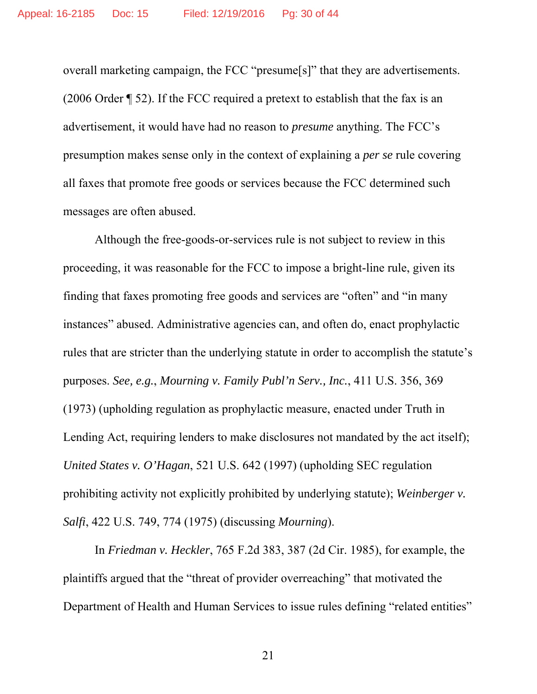overall marketing campaign, the FCC "presume[s]" that they are advertisements. (2006 Order ¶ 52). If the FCC required a pretext to establish that the fax is an advertisement, it would have had no reason to *presume* anything. The FCC's presumption makes sense only in the context of explaining a *per se* rule covering all faxes that promote free goods or services because the FCC determined such messages are often abused.

Although the free-goods-or-services rule is not subject to review in this proceeding, it was reasonable for the FCC to impose a bright-line rule, given its finding that faxes promoting free goods and services are "often" and "in many instances" abused. Administrative agencies can, and often do, enact prophylactic rules that are stricter than the underlying statute in order to accomplish the statute's purposes. *See, e.g.*, *Mourning v. Family Publ'n Serv., Inc.*, 411 U.S. 356, 369 (1973) (upholding regulation as prophylactic measure, enacted under Truth in Lending Act, requiring lenders to make disclosures not mandated by the act itself); *United States v. O'Hagan*, 521 U.S. 642 (1997) (upholding SEC regulation prohibiting activity not explicitly prohibited by underlying statute); *Weinberger v. Salfi*, 422 U.S. 749, 774 (1975) (discussing *Mourning*).

In *Friedman v. Heckler*, 765 F.2d 383, 387 (2d Cir. 1985), for example, the plaintiffs argued that the "threat of provider overreaching" that motivated the Department of Health and Human Services to issue rules defining "related entities"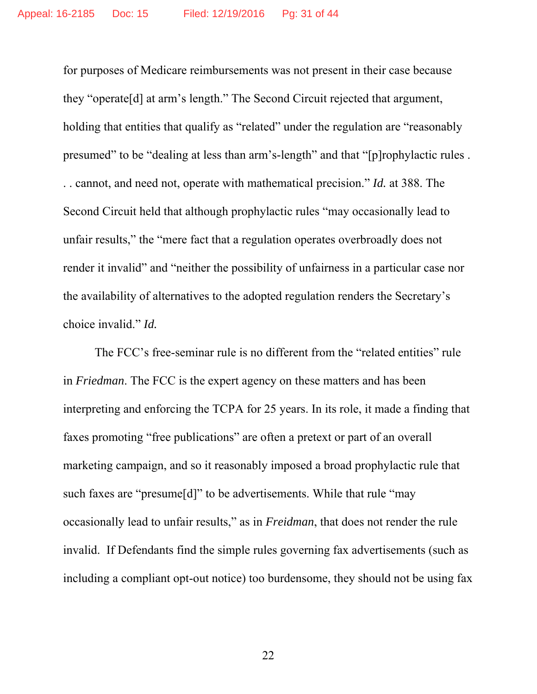for purposes of Medicare reimbursements was not present in their case because they "operate[d] at arm's length." The Second Circuit rejected that argument, holding that entities that qualify as "related" under the regulation are "reasonably presumed" to be "dealing at less than arm's-length" and that "[p]rophylactic rules . . . cannot, and need not, operate with mathematical precision." *Id.* at 388. The Second Circuit held that although prophylactic rules "may occasionally lead to unfair results," the "mere fact that a regulation operates overbroadly does not render it invalid" and "neither the possibility of unfairness in a particular case nor the availability of alternatives to the adopted regulation renders the Secretary's choice invalid." *Id.* 

The FCC's free-seminar rule is no different from the "related entities" rule in *Friedman*. The FCC is the expert agency on these matters and has been interpreting and enforcing the TCPA for 25 years. In its role, it made a finding that faxes promoting "free publications" are often a pretext or part of an overall marketing campaign, and so it reasonably imposed a broad prophylactic rule that such faxes are "presume[d]" to be advertisements. While that rule "may occasionally lead to unfair results," as in *Freidman*, that does not render the rule invalid. If Defendants find the simple rules governing fax advertisements (such as including a compliant opt-out notice) too burdensome, they should not be using fax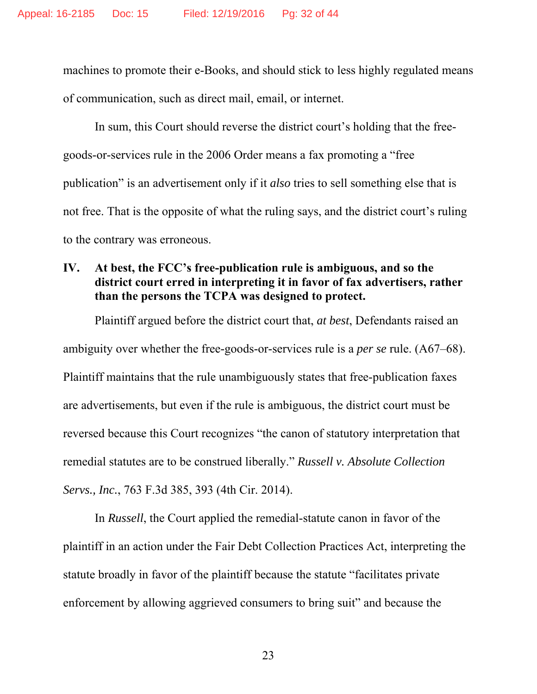machines to promote their e-Books, and should stick to less highly regulated means of communication, such as direct mail, email, or internet.

In sum, this Court should reverse the district court's holding that the freegoods-or-services rule in the 2006 Order means a fax promoting a "free publication" is an advertisement only if it *also* tries to sell something else that is not free. That is the opposite of what the ruling says, and the district court's ruling to the contrary was erroneous.

### **IV. At best, the FCC's free-publication rule is ambiguous, and so the district court erred in interpreting it in favor of fax advertisers, rather than the persons the TCPA was designed to protect.**

Plaintiff argued before the district court that, *at best*, Defendants raised an ambiguity over whether the free-goods-or-services rule is a *per se* rule. (A67–68). Plaintiff maintains that the rule unambiguously states that free-publication faxes are advertisements, but even if the rule is ambiguous, the district court must be reversed because this Court recognizes "the canon of statutory interpretation that remedial statutes are to be construed liberally." *Russell v. Absolute Collection Servs., Inc.*, 763 F.3d 385, 393 (4th Cir. 2014).

In *Russell*, the Court applied the remedial-statute canon in favor of the plaintiff in an action under the Fair Debt Collection Practices Act, interpreting the statute broadly in favor of the plaintiff because the statute "facilitates private enforcement by allowing aggrieved consumers to bring suit" and because the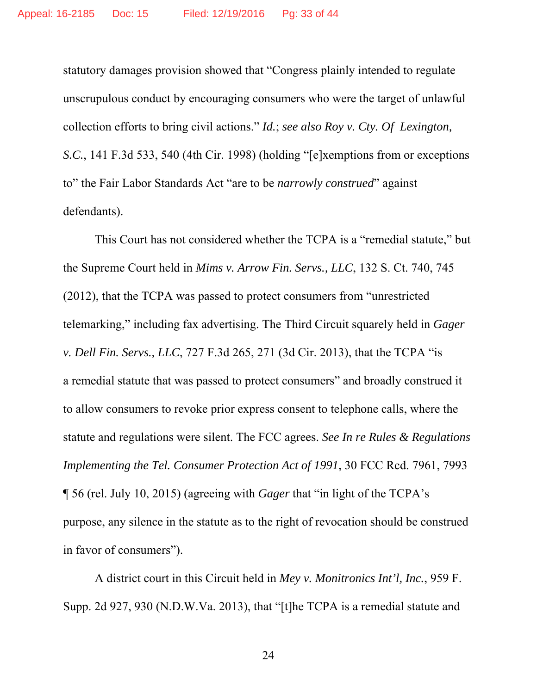statutory damages provision showed that "Congress plainly intended to regulate unscrupulous conduct by encouraging consumers who were the target of unlawful collection efforts to bring civil actions." *Id.*; *see also Roy v. Cty. Of Lexington, S.C.*, 141 F.3d 533, 540 (4th Cir. 1998) (holding "[e]xemptions from or exceptions to" the Fair Labor Standards Act "are to be *narrowly construed*" against defendants).

This Court has not considered whether the TCPA is a "remedial statute," but the Supreme Court held in *Mims v. Arrow Fin. Servs., LLC*, 132 S. Ct. 740, 745 (2012), that the TCPA was passed to protect consumers from "unrestricted telemarking," including fax advertising. The Third Circuit squarely held in *Gager v. Dell Fin. Servs., LLC*, 727 F.3d 265, 271 (3d Cir. 2013), that the TCPA "is a remedial statute that was passed to protect consumers" and broadly construed it to allow consumers to revoke prior express consent to telephone calls, where the statute and regulations were silent. The FCC agrees. *See In re Rules & Regulations Implementing the Tel. Consumer Protection Act of 1991*, 30 FCC Rcd. 7961, 7993 ¶ 56 (rel. July 10, 2015) (agreeing with *Gager* that "in light of the TCPA's purpose, any silence in the statute as to the right of revocation should be construed in favor of consumers").

A district court in this Circuit held in *Mey v. Monitronics Int'l, Inc.*, 959 F. Supp. 2d 927, 930 (N.D.W.Va. 2013), that "[t]he TCPA is a remedial statute and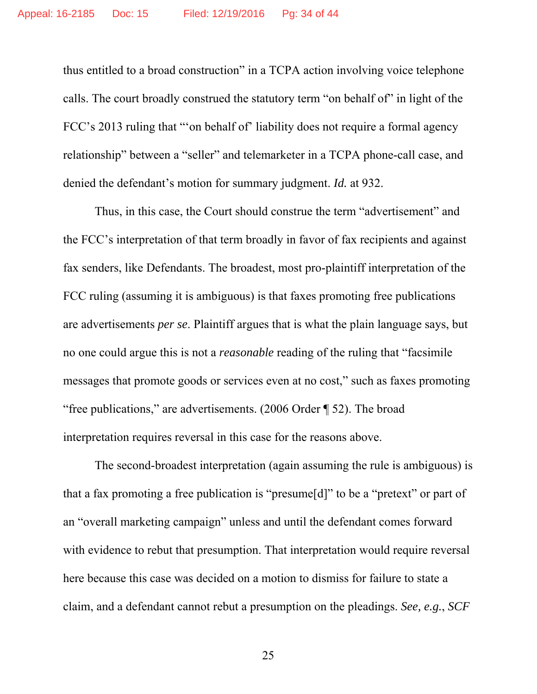thus entitled to a broad construction" in a TCPA action involving voice telephone calls. The court broadly construed the statutory term "on behalf of" in light of the FCC's 2013 ruling that "'on behalf of' liability does not require a formal agency relationship" between a "seller" and telemarketer in a TCPA phone-call case, and denied the defendant's motion for summary judgment. *Id.* at 932.

Thus, in this case, the Court should construe the term "advertisement" and the FCC's interpretation of that term broadly in favor of fax recipients and against fax senders, like Defendants. The broadest, most pro-plaintiff interpretation of the FCC ruling (assuming it is ambiguous) is that faxes promoting free publications are advertisements *per se*. Plaintiff argues that is what the plain language says, but no one could argue this is not a *reasonable* reading of the ruling that "facsimile messages that promote goods or services even at no cost," such as faxes promoting "free publications," are advertisements. (2006 Order ¶ 52). The broad interpretation requires reversal in this case for the reasons above.

The second-broadest interpretation (again assuming the rule is ambiguous) is that a fax promoting a free publication is "presume[d]" to be a "pretext" or part of an "overall marketing campaign" unless and until the defendant comes forward with evidence to rebut that presumption. That interpretation would require reversal here because this case was decided on a motion to dismiss for failure to state a claim, and a defendant cannot rebut a presumption on the pleadings. *See, e.g.*, *SCF*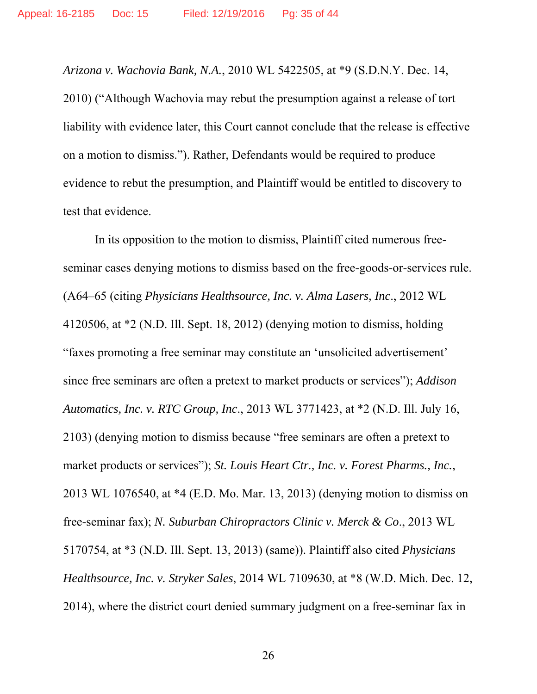*Arizona v. Wachovia Bank, N.A.*, 2010 WL 5422505, at \*9 (S.D.N.Y. Dec. 14, 2010) ("Although Wachovia may rebut the presumption against a release of tort liability with evidence later, this Court cannot conclude that the release is effective on a motion to dismiss."). Rather, Defendants would be required to produce evidence to rebut the presumption, and Plaintiff would be entitled to discovery to test that evidence.

In its opposition to the motion to dismiss, Plaintiff cited numerous freeseminar cases denying motions to dismiss based on the free-goods-or-services rule. (A64–65 (citing *Physicians Healthsource, Inc. v. Alma Lasers, Inc*., 2012 WL 4120506, at \*2 (N.D. Ill. Sept. 18, 2012) (denying motion to dismiss, holding "faxes promoting a free seminar may constitute an 'unsolicited advertisement' since free seminars are often a pretext to market products or services"); *Addison Automatics, Inc. v. RTC Group, Inc*., 2013 WL 3771423, at \*2 (N.D. Ill. July 16, 2103) (denying motion to dismiss because "free seminars are often a pretext to market products or services"); *St. Louis Heart Ctr., Inc. v. Forest Pharms., Inc.*, 2013 WL 1076540, at \*4 (E.D. Mo. Mar. 13, 2013) (denying motion to dismiss on free-seminar fax); *N. Suburban Chiropractors Clinic v. Merck & Co*., 2013 WL 5170754, at \*3 (N.D. Ill. Sept. 13, 2013) (same)). Plaintiff also cited *Physicians Healthsource, Inc. v. Stryker Sales*, 2014 WL 7109630, at \*8 (W.D. Mich. Dec. 12, 2014), where the district court denied summary judgment on a free-seminar fax in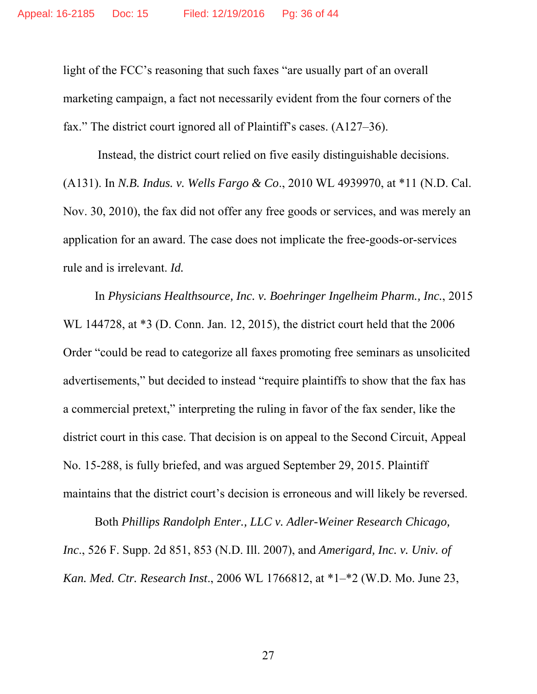light of the FCC's reasoning that such faxes "are usually part of an overall marketing campaign, a fact not necessarily evident from the four corners of the fax." The district court ignored all of Plaintiff's cases. (A127–36).

 Instead, the district court relied on five easily distinguishable decisions. (A131). In *N.B. Indus. v. Wells Fargo & Co*., 2010 WL 4939970, at \*11 (N.D. Cal. Nov. 30, 2010), the fax did not offer any free goods or services, and was merely an application for an award. The case does not implicate the free-goods-or-services rule and is irrelevant. *Id.* 

In *Physicians Healthsource, Inc. v. Boehringer Ingelheim Pharm., Inc.*, 2015 WL 144728, at \*3 (D. Conn. Jan. 12, 2015), the district court held that the 2006 Order "could be read to categorize all faxes promoting free seminars as unsolicited advertisements," but decided to instead "require plaintiffs to show that the fax has a commercial pretext," interpreting the ruling in favor of the fax sender, like the district court in this case. That decision is on appeal to the Second Circuit, Appeal No. 15-288, is fully briefed, and was argued September 29, 2015. Plaintiff maintains that the district court's decision is erroneous and will likely be reversed.

Both *Phillips Randolph Enter., LLC v. Adler-Weiner Research Chicago, Inc*., 526 F. Supp. 2d 851, 853 (N.D. Ill. 2007), and *Amerigard, Inc. v. Univ. of Kan. Med. Ctr. Research Inst*., 2006 WL 1766812, at \*1–\*2 (W.D. Mo. June 23,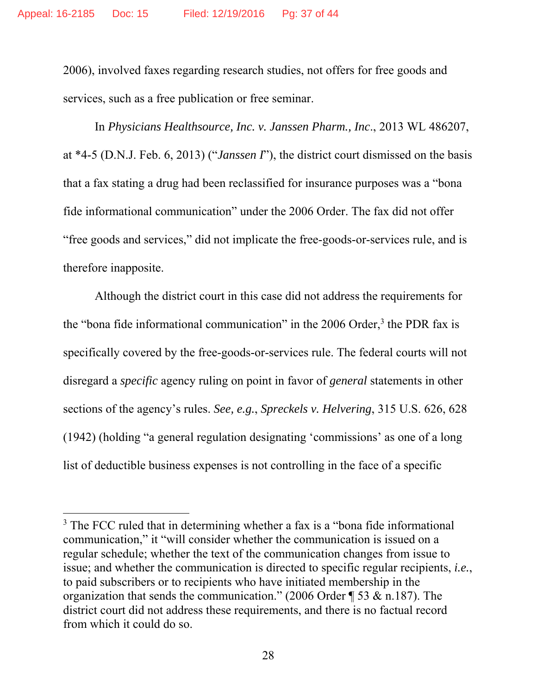2006), involved faxes regarding research studies, not offers for free goods and services, such as a free publication or free seminar.

In *Physicians Healthsource, Inc. v. Janssen Pharm., Inc*., 2013 WL 486207, at \*4-5 (D.N.J. Feb. 6, 2013) ("*Janssen I*"), the district court dismissed on the basis that a fax stating a drug had been reclassified for insurance purposes was a "bona fide informational communication" under the 2006 Order. The fax did not offer "free goods and services," did not implicate the free-goods-or-services rule, and is therefore inapposite.

Although the district court in this case did not address the requirements for the "bona fide informational communication" in the 2006 Order, $3$  the PDR fax is specifically covered by the free-goods-or-services rule. The federal courts will not disregard a *specific* agency ruling on point in favor of *general* statements in other sections of the agency's rules. *See, e.g.*, *Spreckels v. Helvering*, 315 U.S. 626, 628 (1942) (holding "a general regulation designating 'commissions' as one of a long list of deductible business expenses is not controlling in the face of a specific

<sup>&</sup>lt;sup>3</sup> The FCC ruled that in determining whether a fax is a "bona fide informational communication," it "will consider whether the communication is issued on a regular schedule; whether the text of the communication changes from issue to issue; and whether the communication is directed to specific regular recipients, *i.e.*, to paid subscribers or to recipients who have initiated membership in the organization that sends the communication." (2006 Order ¶ 53 & n.187). The district court did not address these requirements, and there is no factual record from which it could do so.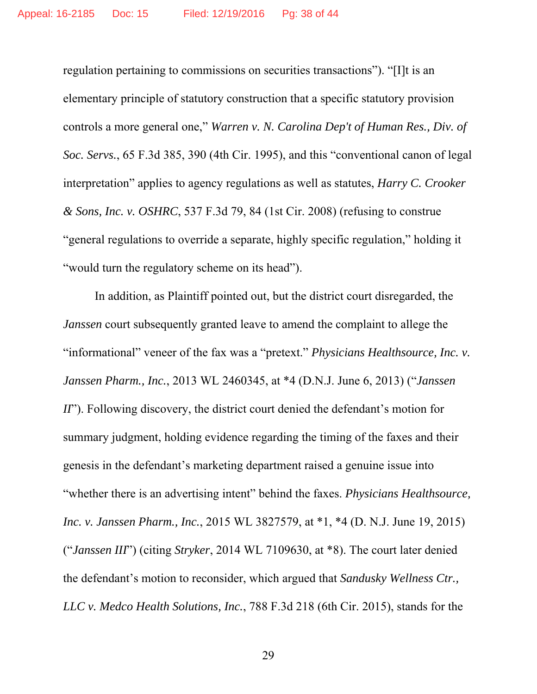regulation pertaining to commissions on securities transactions"). "[I]t is an elementary principle of statutory construction that a specific statutory provision controls a more general one," *Warren v. N. Carolina Dep't of Human Res., Div. of Soc. Servs.*, 65 F.3d 385, 390 (4th Cir. 1995), and this "conventional canon of legal interpretation" applies to agency regulations as well as statutes, *Harry C. Crooker & Sons, Inc. v. OSHRC*, 537 F.3d 79, 84 (1st Cir. 2008) (refusing to construe "general regulations to override a separate, highly specific regulation," holding it "would turn the regulatory scheme on its head").

In addition, as Plaintiff pointed out, but the district court disregarded, the *Janssen* court subsequently granted leave to amend the complaint to allege the "informational" veneer of the fax was a "pretext." *Physicians Healthsource, Inc. v. Janssen Pharm., Inc.*, 2013 WL 2460345, at \*4 (D.N.J. June 6, 2013) ("*Janssen II*"). Following discovery, the district court denied the defendant's motion for summary judgment, holding evidence regarding the timing of the faxes and their genesis in the defendant's marketing department raised a genuine issue into "whether there is an advertising intent" behind the faxes. *Physicians Healthsource, Inc. v. Janssen Pharm., Inc.*, 2015 WL 3827579, at \*1, \*4 (D. N.J. June 19, 2015) ("*Janssen III*") (citing *Stryker*, 2014 WL 7109630, at \*8). The court later denied the defendant's motion to reconsider, which argued that *Sandusky Wellness Ctr., LLC v. Medco Health Solutions, Inc.*, 788 F.3d 218 (6th Cir. 2015), stands for the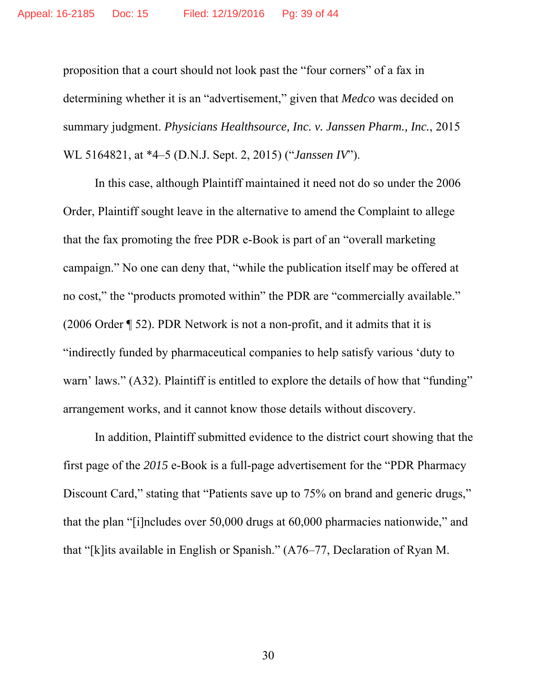proposition that a court should not look past the "four corners" of a fax in determining whether it is an "advertisement," given that *Medco* was decided on summary judgment. *Physicians Healthsource, Inc. v. Janssen Pharm., Inc.*, 2015 WL 5164821, at \*4–5 (D.N.J. Sept. 2, 2015) ("*Janssen IV*").

In this case, although Plaintiff maintained it need not do so under the 2006 Order, Plaintiff sought leave in the alternative to amend the Complaint to allege that the fax promoting the free PDR e-Book is part of an "overall marketing campaign." No one can deny that, "while the publication itself may be offered at no cost," the "products promoted within" the PDR are "commercially available." (2006 Order ¶ 52). PDR Network is not a non-profit, and it admits that it is "indirectly funded by pharmaceutical companies to help satisfy various 'duty to warn' laws." (A32). Plaintiff is entitled to explore the details of how that "funding" arrangement works, and it cannot know those details without discovery.

In addition, Plaintiff submitted evidence to the district court showing that the first page of the *2015* e-Book is a full-page advertisement for the "PDR Pharmacy Discount Card," stating that "Patients save up to 75% on brand and generic drugs," that the plan "[i]ncludes over 50,000 drugs at 60,000 pharmacies nationwide," and that "[k]its available in English or Spanish." (A76–77, Declaration of Ryan M.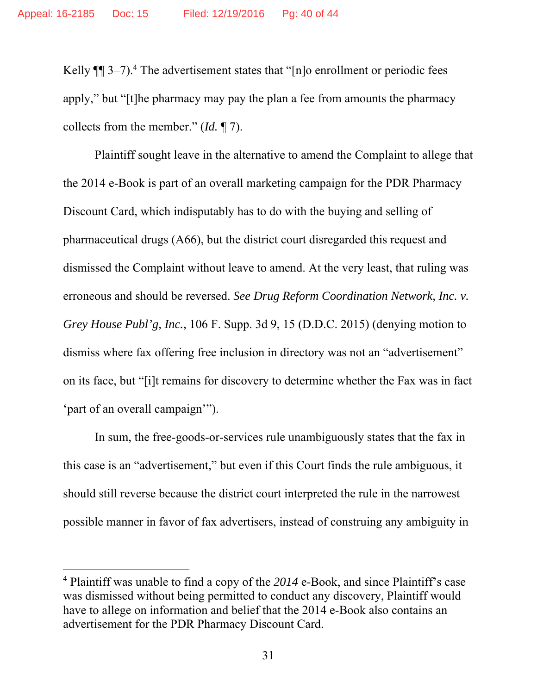Kelly  $\P$  3–7).<sup>4</sup> The advertisement states that "[n]o enrollment or periodic fees apply," but "[t]he pharmacy may pay the plan a fee from amounts the pharmacy collects from the member." (*Id.* ¶ 7).

Plaintiff sought leave in the alternative to amend the Complaint to allege that the 2014 e-Book is part of an overall marketing campaign for the PDR Pharmacy Discount Card, which indisputably has to do with the buying and selling of pharmaceutical drugs (A66), but the district court disregarded this request and dismissed the Complaint without leave to amend. At the very least, that ruling was erroneous and should be reversed. *See Drug Reform Coordination Network, Inc. v. Grey House Publ'g, Inc.*, 106 F. Supp. 3d 9, 15 (D.D.C. 2015) (denying motion to dismiss where fax offering free inclusion in directory was not an "advertisement" on its face, but "[i]t remains for discovery to determine whether the Fax was in fact 'part of an overall campaign'").

In sum, the free-goods-or-services rule unambiguously states that the fax in this case is an "advertisement," but even if this Court finds the rule ambiguous, it should still reverse because the district court interpreted the rule in the narrowest possible manner in favor of fax advertisers, instead of construing any ambiguity in

<sup>4</sup> Plaintiff was unable to find a copy of the *2014* e-Book, and since Plaintiff's case was dismissed without being permitted to conduct any discovery, Plaintiff would have to allege on information and belief that the 2014 e-Book also contains an advertisement for the PDR Pharmacy Discount Card.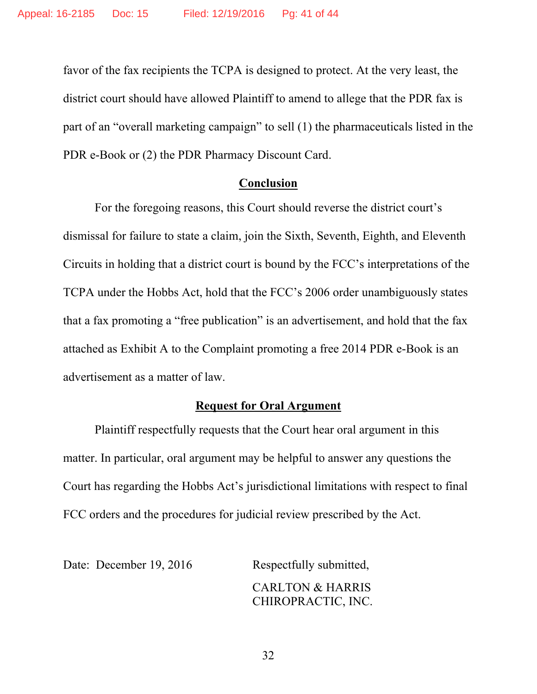favor of the fax recipients the TCPA is designed to protect. At the very least, the district court should have allowed Plaintiff to amend to allege that the PDR fax is part of an "overall marketing campaign" to sell (1) the pharmaceuticals listed in the PDR e-Book or (2) the PDR Pharmacy Discount Card.

#### **Conclusion**

 For the foregoing reasons, this Court should reverse the district court's dismissal for failure to state a claim, join the Sixth, Seventh, Eighth, and Eleventh Circuits in holding that a district court is bound by the FCC's interpretations of the TCPA under the Hobbs Act, hold that the FCC's 2006 order unambiguously states that a fax promoting a "free publication" is an advertisement, and hold that the fax attached as Exhibit A to the Complaint promoting a free 2014 PDR e-Book is an advertisement as a matter of law.

#### **Request for Oral Argument**

 Plaintiff respectfully requests that the Court hear oral argument in this matter. In particular, oral argument may be helpful to answer any questions the Court has regarding the Hobbs Act's jurisdictional limitations with respect to final FCC orders and the procedures for judicial review prescribed by the Act.

Date: December 19, 2016 Respectfully submitted,

 CARLTON & HARRIS CHIROPRACTIC, INC.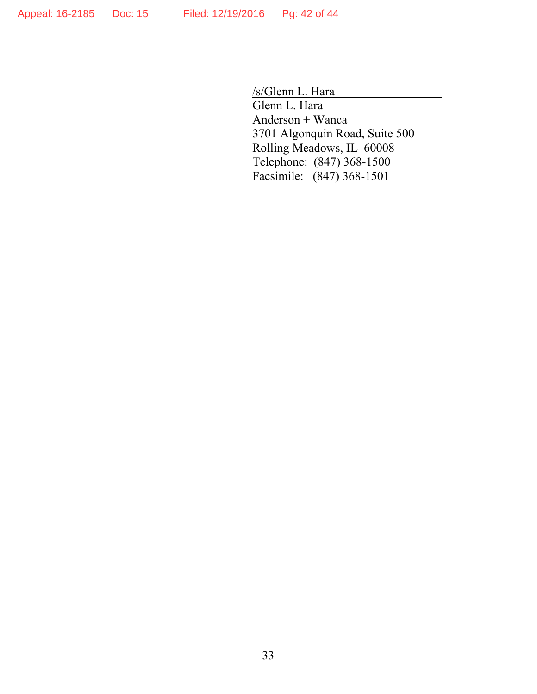/s/Glenn L. Hara

 Glenn L. Hara Anderson + Wanca 3701 Algonquin Road, Suite 500 Rolling Meadows, IL 60008 Telephone: (847) 368-1500 Facsimile: (847) 368-1501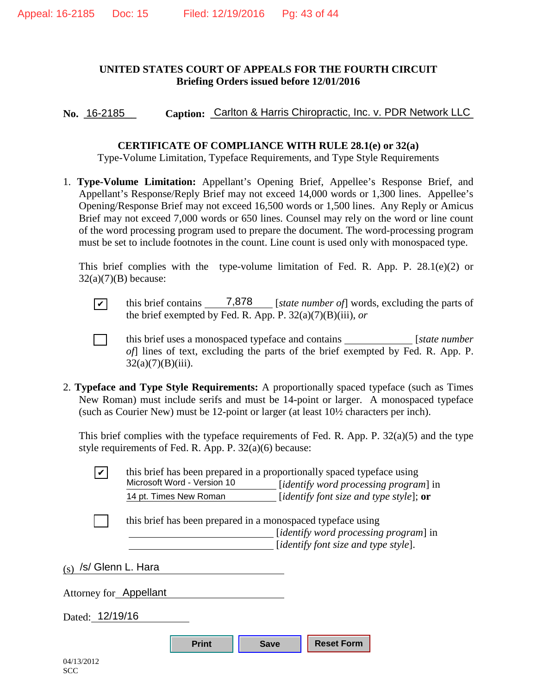#### **UNITED STATES COURT OF APPEALS FOR THE FOURTH CIRCUIT Briefing Orders issued before 12/01/2016**

No. 16-2185 Caption: Carlton & Harris Chiropractic, Inc. v. PDR Network LLC

#### **CERTIFICATE OF COMPLIANCE WITH RULE 28.1(e) or 32(a)**

Type-Volume Limitation, Typeface Requirements, and Type Style Requirements

1. **Type-Volume Limitation:** Appellant's Opening Brief, Appellee's Response Brief, and Appellant's Response/Reply Brief may not exceed 14,000 words or 1,300 lines. Appellee's Opening/Response Brief may not exceed 16,500 words or 1,500 lines. Any Reply or Amicus Brief may not exceed 7,000 words or 650 lines. Counsel may rely on the word or line count of the word processing program used to prepare the document. The word-processing program must be set to include footnotes in the count. Line count is used only with monospaced type.

This brief complies with the type-volume limitation of Fed. R. App. P. 28.1(e)(2) or  $32(a)(7)(B)$  because:

 $\boxed{\checkmark}$  this brief contains  $\boxed{7,878}$  [state number of] words, excluding the parts of the brief exempted by Fed. R. App. P. 32(a)(7)(B)(iii), *or* this brief contains

[ ] this brief uses a monospaced typeface and contains [*state number of*] lines of text, excluding the parts of the brief exempted by Fed. R. App. P.  $32(a)(7)(B)(iii)$ .

2. **Typeface and Type Style Requirements:** A proportionally spaced typeface (such as Times New Roman) must include serifs and must be 14-point or larger. A monospaced typeface (such as Courier New) must be 12-point or larger (at least 10½ characters per inch).

This brief complies with the typeface requirements of Fed. R. App. P. 32(a)(5) and the type style requirements of Fed. R. App. P. 32(a)(6) because:

| $\boldsymbol{\mathcal{U}}$ | Microsoft Word - Version 10                                 | this brief has been prepared in a proportionally spaced typeface using<br>[ <i>identify word processing program</i> ] in |  |  |  |
|----------------------------|-------------------------------------------------------------|--------------------------------------------------------------------------------------------------------------------------|--|--|--|
|                            | 14 pt. Times New Roman                                      | [identify font size and type style]; $or$                                                                                |  |  |  |
|                            | this brief has been prepared in a monospaced typeface using |                                                                                                                          |  |  |  |
|                            |                                                             | [ <i>identify word processing program</i> ] in<br>[identify font size and type style].                                   |  |  |  |
| (s)                        | /s/ Glenn L. Hara                                           |                                                                                                                          |  |  |  |
| Attorney for Appellant     |                                                             |                                                                                                                          |  |  |  |
| Dated: 12/19/16            |                                                             |                                                                                                                          |  |  |  |
|                            | <b>Print</b>                                                | <b>Reset Form</b><br><b>Save</b>                                                                                         |  |  |  |
| 04/13/2012                 |                                                             |                                                                                                                          |  |  |  |